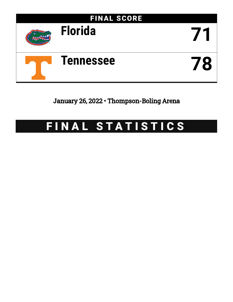

January 26, 2022 • Thompson-Boling Arena

# FINAL STATISTICS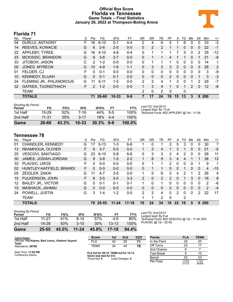### **Official Box Score Florida vs Tennessee Game Totals -- Final Statistics January 26, 2022 at Thompson-Boling Arena**



# **Florida 71**

| No. | Plaver                    | S  | <b>Pts</b> | FG.      | 3FG       | FT      | 0R            | DR | TR             | PF       | A        | TO           | <b>Blk</b>    | Stl      | Min   | $+/-$ |
|-----|---------------------------|----|------------|----------|-----------|---------|---------------|----|----------------|----------|----------|--------------|---------------|----------|-------|-------|
| 04  | DURUJI, ANTHONY           | F. | 16         | $6 - 10$ | $0 - 1$   | $4 - 4$ | 2             | 4  | 6              | 5        |          | 6            | 0             | 0        | 33    | $-3$  |
| 14  | REEVES, KOWACIE           | G  | 6          | $2-6$    | $2 - 5$   | $0 - 0$ | 0             | 2  | 2              |          |          | 0            | $\Omega$      | 0        | 22    | -1    |
| 22  | APPLEBY, TYREE            | G  | 16         | $4 - 10$ | $4 - 8$   | $4 - 4$ | 0             | 1  | 1              | 1        | 7        | 5            | $\Omega$      | 2        | 35    | $-12$ |
| 23  | <b>MCKISSIC, BRANDON</b>  | G  | 8          | $3 - 8$  | $2 - 7$   | $0 - 0$ | 0             |    |                | 4        |          | 1            | $\Omega$      | 1        | 21    | -8    |
| 33  | JITOBOH, JASON            | C  | 2          | $1 - 2$  | $0 - 0$   | $0 - 0$ | 0             |    |                |          | 0        | 0            | $\Omega$      | 0        | 14    | 1     |
| 00  | JONES, MYREON             | G  | 10         | $4-9$    | $1 - 6$   | $1 - 1$ | 0             | 3  | 3              | 3        | 2        | $\mathbf{0}$ | $\mathbf{0}$  | 3        | 28    | 2     |
| 01  | FELDER, CJ                | F  | 0          | $0 - 1$  | $0 - 0$   | $0 - 0$ | 0             | 0  | 0              | 0        | 0        | 0            | $\Omega$      | 0        | 3     | -9    |
| 10  | <b>KENNEDY, ELIJAH</b>    | G  | 0          | $0 - 1$  | $0 - 1$   | $0 - 0$ | 0             | 0  | 0              | 2        | $\Omega$ | 0            | $\Omega$      | 1        | 3     | -3    |
| 24  | FLEMING JR., PHLANDROUS   | G  | 11         | $5 - 11$ | $1 - 5$   | $0 - 0$ | $\mathcal{P}$ | 2  | 4              | 1        | 3        | 0            |               | 2        | 29    | $-7$  |
| 32  | <b>GATKEK, TUONGTHACH</b> | F. | 2          | $1 - 2$  | $0 - 0$   | $0 - 0$ | 1.            | 3  | 4              | 1        | $\Omega$ |              | $\mathcal{P}$ | $\Omega$ | 12    | -6    |
|     | <b>TEAM</b>               |    |            |          |           |         | 2             | 0  | $\overline{2}$ | $\Omega$ |          | 0            |               |          |       |       |
|     | <b>TOTALS</b>             |    | 71         | 26-60    | $10 - 33$ | $9 - 9$ |               | 17 | 24             | 19       | 15       | 13           | 3             |          | 9 200 |       |
|     |                           |    |            |          |           |         |               |    |                |          |          |              |               |          |       |       |

| Game                                | 26-60 | 43.3% | $10 - 33$ | 30.3% | $9 - 9$ | 100.0% |                 |
|-------------------------------------|-------|-------|-----------|-------|---------|--------|-----------------|
| 2nd Half                            | 11-31 | 35%   | $3 - 17$  | 18%   | 4-4     | 100%   |                 |
| 1st Half                            | 15-29 | 52%   | 7-16      | 44%   | $5-5$   | 100%   | Techr           |
| <b>Shooting By Period</b><br>Period | FG    | FG%   | 3FG       | 3FG%  | FТ      | FT%    | Last I<br>Large |

*Last FG:* 2nd-00:31 *Largest lead:* By 13 at *Technical Fouls:* #22 APPLEBY @ 1st - 11:34;

# **Tennessee 78**

| No. | Plaver                      | S  | Pts      | FG       | 3FG       | FТ      | 0R            | DR. | TR             | PF            | A                 | TO | <b>B</b> lk  | Stl          | Min | $+/-$ |
|-----|-----------------------------|----|----------|----------|-----------|---------|---------------|-----|----------------|---------------|-------------------|----|--------------|--------------|-----|-------|
| 01  | CHANDLER, KENNEDY           | G  | 17       | $5 - 13$ | 1-3       | $6-6$   |               | 0   |                | 3             | 5                 | 3  | 0            | 0            | 30  | 7     |
| 13  | NKAMHOUA, OLIVIER           | F. | 6        | $3 - 7$  | $0 - 0$   | $0 - 0$ | 1.            | 3   | 4              |               | 3                 | 1  | 0            | 0            | 21  | $-5$  |
| 25  | <b>VESCOVI, SANTIAGO</b>    | G  | 23       | $6 - 10$ | $5-8$     | $6-6$   | $\mathbf{0}$  | 3   | 3              | 2             | 4                 | 2  | 0            | 0            | 28  | 11    |
| 30  | <b>JAMES, JOSIAH-JORDAN</b> | G  | 9        | $3 - 8$  | $1 - 5$   | $2 - 2$ | $\mathbf 1$   | 8   | 9              | 3             | 4                 | 4  |              |              | 38  | 12    |
| 33  | PLAVSIC, UROS               | F  | 0        | $0 - 0$  | $0 - 0$   | $0 - 0$ | $\Omega$      | 1   | 1              | $\mathcal{P}$ | 0                 | 0  | 0            |              | 9   | 1     |
| 02  | HUNTLEY-HATFIELD, BRAND(    | F. | 0        | $0 - 0$  | $0 - 0$   | $0 - 0$ | 0             |     |                | $\Omega$      | 0                 |    | $\mathbf{0}$ | $\mathbf{0}$ | 4   | $-10$ |
| 05  | ZEIGLER, ZAKAI              | G  | 11       | $4 - 7$  | $3 - 5$   | $0 - 0$ | 1             | 5   | 6              | 3             | 4                 | 2  |              | 2            | 26  | 4     |
| 10  | FULKERSON, JOHN             | F. | 9        | $3 - 5$  | $0 - 0$   | $3 - 3$ | $\mathcal{P}$ | 0   | $\overline{2}$ | $\mathcal{P}$ | 0                 | 1  | 3            | $\Omega$     | 18  | 8     |
| 12  | <b>BAILEY JR., VICTOR</b>   | G  | 0        | $0 - 1$  | $0 - 1$   | $0 - 1$ |               | 0   |                | 0             | 0                 | 0  | 0            | 0            | 2   | -6    |
| 15  | MASHACK, JAHMAI             | G  | $\Omega$ | $0 - 0$  | $0 - 0$   | $0 - 0$ | 0             | 0   | $\mathbf{0}$   | $\Omega$      | 0                 | 0  | $\Omega$     | $\Omega$     | 2   | $-4$  |
| 24  | POWELL, JUSTIN              | G  | 3        | $1 - 4$  | $1 - 2$   | $0 - 0$ | $\mathcal{P}$ | 2   | 4              | $\Omega$      | 2                 | 0  | 0            | 2            | 22  | 17    |
|     | <b>TEAM</b>                 |    |          |          |           |         |               |     | 2              | $\Omega$      |                   | 2  |              |              |     |       |
|     | <b>TOTALS</b>               |    | 78.      | 25-55    | $11 - 24$ | $17-18$ | 10            | 24  | 34             | 16            | $22 \overline{)}$ | 16 | 5            | 6            | 200 |       |

| <b>Shooting By Period</b> |       |       |           |       |           |       |
|---------------------------|-------|-------|-----------|-------|-----------|-------|
| Period                    | FG    | FG%   | 3FG       | 3FG%  | FТ        | FT%   |
| 1st Half                  | 11-27 | 41%   | 8-14      | .57%  | 4-5       | 80%   |
| 2nd Half                  | 14-28 | 50%   | $3 - 10$  | 30%   | $13 - 13$ | 100%  |
| Game                      | 25-55 | 45.5% | $11 - 24$ | 45.8% | 17-18     | 94.4% |

*Last FG:* 2nd-03:21 *Largest lead:* By 8 at *Technical Fouls:* #25 VESCOVI @ 1st - 11:34; #33 PLAVSIC @ 1st - 02:45;

| Game Notes:                                                 | <b>Score</b>                            | 1st | 2 <sub>nd</sub> | <b>TOT</b> | <b>Points</b>     | FLA            | <b>TENN</b>    |
|-------------------------------------------------------------|-----------------------------------------|-----|-----------------|------------|-------------------|----------------|----------------|
| Officials: Pat Adams, Bart Lenox, Vladimir Voyard-<br>Tadal | <b>FLA</b>                              | 42  | 29              | 71         | In the Paint      | 28             | 20             |
| Attendance: 20789                                           | <b>TENN</b>                             | 34  | 44              | 78         | Off Turns         | 22             | 17             |
|                                                             |                                         |     |                 |            | 2nd Chance        |                |                |
| Start Time: 11:02 PM<br>Conference Game:                    | FLA led for 26:15. TENN led for 12:13.  |     |                 |            | <b>Fast Break</b> |                | 13             |
|                                                             | Game was tied for 0:0.<br>Times tied: 0 |     | Lead Changes: 0 |            | Bench             | 23             | 23             |
|                                                             |                                         |     |                 |            | Per Poss          | 1.014<br>31/70 | 1.147<br>34/68 |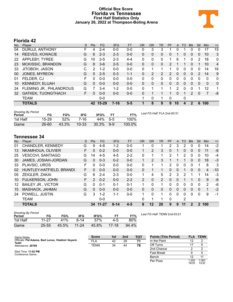### **Official Box Score Florida vs Tennessee First Half Statistics Only January 26, 2022 at Thompson-Boling Arena**



# **Florida 42**

| No. | Plaver                    | S  | <b>Pts</b>    | FG       | 3FG      | <b>FT</b> | <b>OR</b> | DR       | TR       | <b>PF</b>     | A            | TO       | <b>Blk</b>    | Stl          | Min | $+/-$          |
|-----|---------------------------|----|---------------|----------|----------|-----------|-----------|----------|----------|---------------|--------------|----------|---------------|--------------|-----|----------------|
| 04  | DURUJI, ANTHONY           |    | 4             | $2 - 4$  | $0 - 0$  | $0-0$     | 0         | 3        | 3        |               | 0            |          | 0             | 0            | 17  | 15             |
| 14  | REEVES, KOWACIE           | G  | 6             | $2 - 3$  | $2 - 3$  | $0 - 0$   | 0         | $\Omega$ | 0        | 0             |              | 0        | 0             | 0            | 10  | 3              |
| 22  | APPLEBY, TYREE            | G  | 10            | $2 - 5$  | $2 - 3$  | $4 - 4$   | 0         | 0        | 0        | 1             | 6            |          | 0             | 2            | 18  | 0              |
| 23  | MCKISSIC, BRANDON         | G  | 8             | $3-6$    | $2 - 5$  | $0 - 0$   | 0         | 0        | 0        | 2             |              |          | 0             |              | 10  | $\overline{4}$ |
| 33  | JITOBOH, JASON            | C  | $\mathcal{P}$ | $1 - 2$  | $0 - 0$  | $0 - 0$   | 0         | 1        |          | 1             | 0            | $\Omega$ | $\Omega$      | 0            | 14  | 16             |
| 00  | JONES, MYREON             | G  | 5             | $2 - 5$  | $0 - 3$  | $1 - 1$   | 0         | 2        | 2        | $\mathcal{P}$ | $\Omega$     | $\Omega$ | $\Omega$      | 2            | 14  | 9              |
| 01  | FELDER, CJ                | F  | 0             | $0 - 0$  | $0 - 0$  | $0 - 0$   | 0         | $\Omega$ | $\Omega$ | $\Omega$      | 0            | 0        | $\Omega$      | 0            | 0   | 0              |
| 10  | <b>KENNEDY, ELIJAH</b>    | G  | $\Omega$      | $0 - 0$  | $0 - 0$  | $0 - 0$   | 0         | 0        | 0        | 0             | $\mathbf{0}$ | $\Omega$ | $\Omega$      | $\mathbf{0}$ | 0   | $\mathbf{0}$   |
| 24  | FLEMING JR., PHLANDROUS   | G  |               | $3 - 4$  | $1 - 2$  | $0 - 0$   | 0         | 1        |          | 1             | 2            | 0        | 0             | 1            | 12  | 1              |
| 32  | <b>GATKEK, TUONGTHACH</b> | F. | $\Omega$      | $0-0$    | $0 - 0$  | $0 - 0$   | 0         | 1        |          | 1             | 0            |          | $\mathcal{P}$ | $\Omega$     | 7   | -8             |
|     | <b>TEAM</b>               |    |               | $0 - 0$  |          |           | 1         | 0        |          | $\Omega$      |              | 0        |               |              |     |                |
|     | <b>TOTALS</b>             |    |               | 42 15-29 | $7 - 16$ | $5 - 5$   |           | 8        | 9        | 9             | 10           | 4        | 2             | 6            | 100 |                |

| <b>Shooting By Period</b><br>Period | FG        | FG%   | 3FG       | 3FG%  | FТ    | FT%    | Last FG Half: FLA 2nd-00:31 |
|-------------------------------------|-----------|-------|-----------|-------|-------|--------|-----------------------------|
| 1st Half                            | 15-29     | 52%   | 7-16      | 44%   | - 5-5 | 100%   |                             |
| Game                                | $26 - 60$ | 43.3% | $10 - 33$ | 30.3% | $9-9$ | 100.0% |                             |

# **Tennessee 34**

| No. | Player                    | S  | <b>Pts</b> | FG       | 3FG      | <b>FT</b> | <b>OR</b>     | DR       | TR | <b>PF</b>      | A        | TO       | <b>Blk</b> | Stl          | Min | $+/-$ |
|-----|---------------------------|----|------------|----------|----------|-----------|---------------|----------|----|----------------|----------|----------|------------|--------------|-----|-------|
| 01  | CHANDLER, KENNEDY         | G  | 9          | $4 - 8$  | 1-2      | $0 - 0$   |               | 0        |    | 2              | 3        | 2        | 0          | 0            | 14  | $-2$  |
| 13  | NKAMHOUA, OLIVIER         | F. | 0          | $0 - 2$  | $0 - 0$  | $0 - 0$   | 1             | 2        | 3  | 0              |          | $\Omega$ | 0          | 0            | 11  | $-6$  |
| 25  | <b>VESCOVI, SANTIAGO</b>  | G  | 14         | $4 - 5$  | $4 - 5$  | $2 - 2$   | 0             |          |    | 2              |          | 2        | 0          | 0            | 10  | $-4$  |
| 30  | JAMES, JOSIAH-JORDAN      | G  | 0          | $0 - 3$  | $0 - 2$  | $0 - 0$   |               | 2        | 3  |                |          |          | 0          | $\Omega$     | 18  | $-3$  |
| 33  | PLAVSIC, UROS             | F  | 0          | $0 - 0$  | $0 - 0$  | $0 - 0$   | 0             |          | 1  | 2              | $\Omega$ | 0        | $\Omega$   |              | 8   | 3     |
| 02  | HUNTLEY-HATFIELD, BRAND(  | F. | 0          | $0 - 0$  | $0 - 0$  | $0 - 0$   | 0             |          |    | $\Omega$       | 0        |          | 0          | $\Omega$     | 4   | $-10$ |
| 05  | ZEIGLER, ZAKAI            | G  | 6          | $2 - 4$  | $2 - 3$  | $0 - 0$   | 1             | 4        | 5  | $\overline{2}$ | 3        | 2        |            |              | 14  | -3    |
| 10  | FULKERSON, JOHN           | F. | 2          | $0 - 2$  | $0 - 0$  | $2 - 2$   | $\mathcal{P}$ | $\Omega$ | 2  | 0              | 0        |          |            | 0            | 9   | $-6$  |
| 12  | <b>BAILEY JR., VICTOR</b> | G  | 0          | $0 - 1$  | $0 - 1$  | $0 - 1$   |               | $\Omega$ |    | 0              | 0        | 0        | 0          | 0            | 2   | -6    |
| 15  | MASHACK, JAHMAI           | G  | 0          | $0 - 0$  | $0 - 0$  | $0 - 0$   | 0             | 0        | 0  | 0              | 0        | $\Omega$ | 0          | $\Omega$     | 1   | $-2$  |
| 24  | POWELL, JUSTIN            | G  | 3          | $1 - 2$  | $1 - 1$  | $0 - 0$   | 1.            | $\Omega$ | 1  | $\Omega$       | 0        | 0        | $\Omega$   | $\Omega$     | 9   | $-1$  |
|     | <b>TEAM</b>               |    |            | $0 - 0$  |          |           | 0             |          |    | $\Omega$       |          | 2        |            |              |     |       |
|     | <b>TOTALS</b>             |    |            | 34 11-27 | $8 - 14$ | $4 - 5$   | 8             | 12       | 20 | 9              | 9        | 11       | 2          | $\mathbf{2}$ | 100 |       |

| <b>Shooting By Period</b><br>Period | FG      | FG%   | 3FG       | 3FG%  | FТ    | FT%   |
|-------------------------------------|---------|-------|-----------|-------|-------|-------|
| 1st Half                            | $11-27$ | 41%   | 8-14      | 57%   | 4-5   | 80%   |
| Game                                | 25-55   | 45.5% | $11 - 24$ | 45.8% | 17-18 | 94.4% |

*Last FG Half:* TENN 2nd-03:21

| Game Notes:                                                 | <b>Score</b> | 1st | 2 <sub>nd</sub> | <b>TOT</b> | <b>Points (This Period)</b> | <b>FLA</b>    | <b>TENN</b>    |
|-------------------------------------------------------------|--------------|-----|-----------------|------------|-----------------------------|---------------|----------------|
| Officials: Pat Adams, Bart Lenox, Vladimir Voyard-<br>Tadal | <b>FLA</b>   | 42  | 29              | 71         | In the Paint                | 12            |                |
| Attendance: 20789                                           | TENN         | 34  | 44              | 78         | Off Turns                   | 17            |                |
|                                                             |              |     |                 |            | 2nd Chance                  |               |                |
| Start Time: 11:02 PM<br>Conference Game;                    |              |     |                 |            | <b>Fast Break</b>           |               |                |
|                                                             |              |     |                 |            | Bench                       | 12            | 11             |
|                                                             |              |     |                 |            | Per Poss                    | .200<br>18/35 | 1.063<br>13/32 |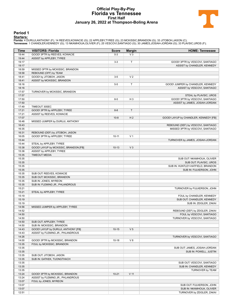#### **Official Play-By-Play Florida vs Tennessee First Half January 26, 2022 at Thompson-Boling Arena**



#### **Period 1**

<mark>Starters:</mark><br>Florida: 4 DURUJI,ANTHONY (F); 14 REEVES,KOWACIE (G); 22 APPLEBY,TYREE (G); 23 MCKISSIC,BRANDON (G); 33 JITOBOH,JASON (C);<br>Tennessee: 1 CHANDLER,KENNEDY (G); 13 NKAMHOUA,OLIVIER (F); 25 VESCOVI,SANTIAGO (G); 30

| Time           | <b>VISITORS: Florida</b>                                                 | <b>Score</b> | <b>Margin</b>   | <b>HOME: Tennessee</b>                                       |
|----------------|--------------------------------------------------------------------------|--------------|-----------------|--------------------------------------------------------------|
| 19:44          | GOOD! 3PTR by REEVES, KOWACIE                                            | $0 - 3$      | $V_3$           |                                                              |
| 19:44          | ASSIST by APPLEBY, TYREE                                                 |              |                 |                                                              |
| 19:17          |                                                                          | $3 - 3$      | T               | GOOD! 3PTR by VESCOVI, SANTIAGO                              |
| 19:17          |                                                                          |              |                 | ASSIST by CHANDLER, KENNEDY                                  |
| 18:59          | MISSED 3PTR by MCKISSIC, BRANDON                                         |              |                 |                                                              |
| 18:58          | REBOUND (OFF) by TEAM                                                    |              |                 |                                                              |
| 18:41          | GOOD! by JITOBOH, JASON                                                  | $3-5$        | V <sub>2</sub>  |                                                              |
| 18:41          | ASSIST by MCKISSIC, BRANDON                                              |              |                 |                                                              |
| 18:16          |                                                                          | $5 - 5$      | T               | GOOD! JUMPER by CHANDLER, KENNEDY                            |
| 18:16          |                                                                          |              |                 | ASSIST by VESCOVI, SANTIAGO                                  |
| 17:57          | TURNOVER by MCKISSIC, BRANDON                                            |              |                 |                                                              |
| 17:57          |                                                                          | $8 - 5$      | $H_3$           | STEAL by PLAVSIC, UROS<br>GOOD! 3PTR by VESCOVI, SANTIAGO    |
| 17:50<br>17:50 |                                                                          |              |                 | ASSIST by JAMES, JOSIAH-JORDAN                               |
| 17:49          | TIMEOUT 30SEC                                                            |              |                 |                                                              |
| 17:21          | GOOD! 3PTR by APPLEBY, TYREE                                             | $8 - 8$      | T               |                                                              |
| 17:21          | ASSIST by REEVES, KOWACIE                                                |              |                 |                                                              |
| 17:07          |                                                                          | $10-8$       | H <sub>2</sub>  | GOOD! LAYUP by CHANDLER, KENNEDY [FB]                        |
| 16:48          | MISSED JUMPER by DURUJI, ANTHONY                                         |              |                 |                                                              |
| 16:43          |                                                                          |              |                 | REBOUND (DEF) by VESCOVI, SANTIAGO                           |
| 16:35          |                                                                          |              |                 | MISSED 3PTR by VESCOVI, SANTIAGO                             |
| 16:31          | REBOUND (DEF) by JITOBOH, JASON                                          |              |                 |                                                              |
| 16:05          | GOOD! 3PTR by APPLEBY, TYREE                                             | $10 - 11$    | V <sub>1</sub>  |                                                              |
| 15:44          |                                                                          |              |                 | TURNOVER by JAMES, JOSIAH-JORDAN                             |
| 15:44          | STEAL by APPLEBY, TYREE                                                  |              |                 |                                                              |
| 15:38          | GOOD! LAYUP by MCKISSIC, BRANDON [FB]                                    | $10-13$      | V <sub>3</sub>  |                                                              |
| 15:38          | ASSIST by APPLEBY, TYREE                                                 |              |                 |                                                              |
| 15:35          | <b>TIMEOUT MEDIA</b>                                                     |              |                 |                                                              |
| 15:35          |                                                                          |              |                 | SUB OUT: NKAMHOUA, OLIVIER                                   |
| 15:35          |                                                                          |              |                 | SUB OUT: PLAVSIC, UROS                                       |
| 15:35<br>15:35 |                                                                          |              |                 | SUB IN: HUNTLEY-HATFIELD, BRANDON<br>SUB IN: FULKERSON, JOHN |
| 15:35          | SUB OUT: REEVES, KOWACIE                                                 |              |                 |                                                              |
| 15:35          | SUB OUT: MCKISSIC, BRANDON                                               |              |                 |                                                              |
| 15:35          | SUB IN: JONES, MYREON                                                    |              |                 |                                                              |
| 15:35          | SUB IN: FLEMING JR., PHLANDROUS                                          |              |                 |                                                              |
| 15:21          |                                                                          |              |                 | TURNOVER by FULKERSON, JOHN                                  |
| 15:21          | STEAL by APPLEBY, TYREE                                                  |              |                 |                                                              |
| 15:19          |                                                                          |              |                 | FOUL by CHANDLER, KENNEDY                                    |
| 15:19          |                                                                          |              |                 | SUB OUT: CHANDLER, KENNEDY                                   |
| 15:19          |                                                                          |              |                 | SUB IN: ZEIGLER, ZAKAI                                       |
| 14:56          | MISSED JUMPER by APPLEBY, TYREE                                          |              |                 |                                                              |
| 14:52          |                                                                          |              |                 | REBOUND (DEF) by ZEIGLER, ZAKAI                              |
| 14:50          |                                                                          |              |                 | FOUL by VESCOVI, SANTIAGO                                    |
| 14:50          |                                                                          |              |                 | TURNOVER by VESCOVI, SANTIAGO                                |
| 14:50          | SUB OUT: APPLEBY, TYREE                                                  |              |                 |                                                              |
| 14:50<br>14:43 | SUB IN: MCKISSIC, BRANDON                                                | $10 - 15$    | V <sub>5</sub>  |                                                              |
| 14:43          | GOOD! LAYUP by DURUJI, ANTHONY [FB]<br>ASSIST by FLEMING JR., PHLANDROUS |              |                 |                                                              |
| 14:26          |                                                                          |              |                 | TURNOVER by VESCOVI, SANTIAGO                                |
| 14:00          | GOOD! 3PTR by MCKISSIC, BRANDON                                          | $10-18$      | V8              |                                                              |
| 13:35          | FOUL by MCKISSIC, BRANDON                                                |              |                 |                                                              |
| 13:35          |                                                                          |              |                 | SUB OUT: JAMES, JOSIAH-JORDAN                                |
| 13:35          |                                                                          |              |                 | SUB IN: POWELL, JUSTIN                                       |
| 13:35          | SUB OUT: JITOBOH, JASON                                                  |              |                 |                                                              |
| 13:35          | SUB IN: GATKEK, TUONGTHACH                                               |              |                 |                                                              |
| 13:35          |                                                                          |              |                 | SUB OUT: VESCOVI, SANTIAGO                                   |
| 13:35          |                                                                          |              |                 | SUB IN: CHANDLER, KENNEDY                                    |
| 13:35          |                                                                          |              |                 | TURNOVER by TEAM                                             |
| 13:24          | GOOD! 3PTR by MCKISSIC, BRANDON                                          | $10 - 21$    | V <sub>11</sub> |                                                              |
| 13:24          | ASSIST by FLEMING JR., PHLANDROUS                                        |              |                 |                                                              |
| 13:07          | FOUL by JONES, MYREON                                                    |              |                 |                                                              |
| 13:07          |                                                                          |              |                 | SUB OUT: FULKERSON, JOHN                                     |
| 13:07          |                                                                          |              |                 | SUB IN: NKAMHOUA, OLIVIER                                    |
| 12:51          |                                                                          |              |                 | TURNOVER by ZEIGLER, ZAKAI                                   |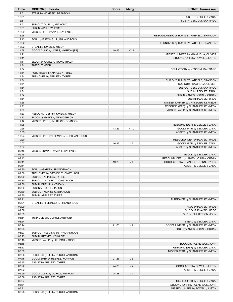| Time           | <b>VISITORS: Florida</b>               | <b>Score</b> | <b>Margin</b>   | <b>HOME: Tennessee</b>                                            |
|----------------|----------------------------------------|--------------|-----------------|-------------------------------------------------------------------|
| 12:51          | STEAL by MCKISSIC, BRANDON             |              |                 |                                                                   |
| 12:51          |                                        |              |                 | SUB OUT: ZEIGLER, ZAKAI                                           |
| 12:51          |                                        |              |                 | SUB IN: VESCOVI, SANTIAGO                                         |
| 12:51          | SUB OUT: DURUJI, ANTHONY               |              |                 |                                                                   |
| 12:51          | SUB IN: APPLEBY, TYREE                 |              |                 |                                                                   |
| 12:29          | MISSED 3PTR by APPLEBY, TYREE          |              |                 |                                                                   |
| 12:26          |                                        |              |                 | REBOUND (DEF) by HUNTLEY-HATFIELD, BRANDON                        |
| 12:13          | FOUL by FLEMING JR., PHLANDROUS        |              |                 |                                                                   |
| 12:02          |                                        |              |                 | TURNOVER by HUNTLEY-HATFIELD, BRANDON                             |
| 12:02          | STEAL by JONES, MYREON                 |              |                 |                                                                   |
| 11:58          | GOOD! DUNK by JONES, MYREON [FB]       | $10 - 23$    | V <sub>13</sub> |                                                                   |
| 11:41          |                                        |              |                 | MISSED JUMPER by NKAMHOUA, OLIVIER                                |
| 11:41          |                                        |              |                 | REBOUND (OFF) by POWELL, JUSTIN                                   |
| 11:41          | BLOCK by GATKEK, TUONGTHACH            |              |                 |                                                                   |
| 11:34          | <b>TIMEOUT MEDIA</b>                   |              |                 |                                                                   |
| 11:34          |                                        |              |                 | FOUL (TECH) by VESCOVI, SANTIAGO                                  |
| 11:34          | FOUL (TECH) by APPLEBY, TYREE          |              |                 |                                                                   |
| 11:34          | TURNOVER by APPLEBY, TYREE             |              |                 |                                                                   |
| 11:34          |                                        |              |                 | SUB OUT: HUNTLEY-HATFIELD, BRANDON                                |
| 11:34          |                                        |              |                 | SUB OUT: NKAMHOUA, OLIVIER                                        |
| 11:34<br>11:34 |                                        |              |                 | SUB OUT: VESCOVI, SANTIAGO<br>SUB IN: ZEIGLER, ZAKAI              |
| 11:34          |                                        |              |                 | SUB IN: JAMES, JOSIAH-JORDAN                                      |
| 11:34          |                                        |              |                 | SUB IN: PLAVSIC, UROS                                             |
| 11:26          |                                        |              |                 | MISSED JUMPER by CHANDLER, KENNEDY                                |
| 11:21          |                                        |              |                 | REBOUND (OFF) by CHANDLER, KENNEDY                                |
| 11:20          |                                        |              |                 | MISSED LAYUP by CHANDLER, KENNEDY                                 |
| 11:20          | REBOUND (DEF) by JONES, MYREON         |              |                 |                                                                   |
| 11:20          | BLOCK by GATKEK, TUONGTHACH            |              |                 |                                                                   |
| 11:12          | MISSED 3PTR by MCKISSIC, BRANDON       |              |                 |                                                                   |
| 11:08          |                                        |              |                 | REBOUND (DEF) by ZEIGLER, ZAKAI                                   |
| 10:55          |                                        | 13-23        | $V$ 10          | GOOD! 3PTR by ZEIGLER, ZAKAI                                      |
| 10:55          |                                        |              |                 | ASSIST by CHANDLER, KENNEDY                                       |
| 10:24          | MISSED 3PTR by FLEMING JR., PHLANDROUS |              |                 |                                                                   |
| 10:20          |                                        |              |                 | REBOUND (DEF) by PLAVSIC, UROS                                    |
| 10:07          |                                        | 16-23        | V <sub>7</sub>  | GOOD! 3PTR by ZEIGLER, ZAKAI                                      |
| 10:07          |                                        |              |                 | ASSIST by CHANDLER, KENNEDY                                       |
| 09:48          | MISSED JUMPER by APPLEBY, TYREE        |              |                 |                                                                   |
| 09:48          |                                        |              |                 | BLOCK by ZEIGLER, ZAKAI                                           |
| 09:43          |                                        |              |                 | REBOUND (DEF) by JAMES, JOSIAH-JORDAN                             |
| 09:41          |                                        | 19-23        | V <sub>4</sub>  | GOOD! 3PTR by CHANDLER, KENNEDY [FB]                              |
| 09:41          |                                        |              |                 | ASSIST by ZEIGLER, ZAKAI                                          |
| 09:30          | FOUL by GATKEK, TUONGTHACH             |              |                 |                                                                   |
| 09:30          | TURNOVER by GATKEK, TUONGTHACH         |              |                 |                                                                   |
| 09:30          | SUB OUT: APPLEBY, TYREE                |              |                 |                                                                   |
| 09:30          | SUB OUT: GATKEK, TUONGTHACH            |              |                 |                                                                   |
| 09:30          | SUB IN: DURUJI, ANTHONY                |              |                 |                                                                   |
| 09:30          | SUB IN: JITOBOH, JASON                 |              |                 |                                                                   |
| 09:30          | SUB OUT: MCKISSIC, BRANDON             |              |                 |                                                                   |
| 09:30          | SUB IN: APPLEBY, TYREE                 |              |                 |                                                                   |
| 09:21          |                                        |              |                 | TURNOVER by CHANDLER, KENNEDY                                     |
| 09:21          | STEAL by FLEMING JR., PHLANDROUS       |              |                 |                                                                   |
| 09:09          |                                        |              |                 | FOUL by PLAVSIC, UROS                                             |
| 09:09          |                                        |              |                 | SUB OUT: PLAVSIC, UROS                                            |
| 09:09          |                                        |              |                 | SUB IN: FULKERSON, JOHN                                           |
| 08:54          | TURNOVER by DURUJI, ANTHONY            |              |                 |                                                                   |
| 08:54          |                                        |              | V <sub>2</sub>  | STEAL by ZEIGLER, ZAKAI                                           |
| 08:44<br>08:23 |                                        | 21-23        |                 | GOOD! JUMPER by CHANDLER, KENNEDY<br>FOUL by JAMES, JOSIAH-JORDAN |
| 08:23          | SUB OUT: FLEMING JR., PHLANDROUS       |              |                 |                                                                   |
| 08:23          | SUB IN: REEVES, KOWACIE                |              |                 |                                                                   |
| 08:18          | MISSED LAYUP by JITOBOH, JASON         |              |                 |                                                                   |
| 08:18          |                                        |              |                 | BLOCK by FULKERSON, JOHN                                          |
| 08:13          |                                        |              |                 | REBOUND (DEF) by ZEIGLER, ZAKAI                                   |
| 08:09          |                                        |              |                 | MISSED 3PTR by CHANDLER, KENNEDY                                  |
| 08:06          | REBOUND (DEF) by DURUJI, ANTHONY       |              |                 |                                                                   |
| 07:45          | GOOD! 3PTR by REEVES, KOWACIE          | $21 - 26$    | V <sub>5</sub>  |                                                                   |
| 07:45          | ASSIST by APPLEBY, TYREE               |              |                 |                                                                   |
| 07:22          |                                        | 24-26        | V <sub>2</sub>  | GOOD! 3PTR by POWELL, JUSTIN                                      |
| 07:22          |                                        |              |                 | ASSIST by ZEIGLER, ZAKAI                                          |
| 06:59          | GOOD! DUNK by DURUJI, ANTHONY          | 24-28        | V <sub>4</sub>  |                                                                   |
| 06:59          | ASSIST by APPLEBY, TYREE               |              |                 |                                                                   |
| 06:37          |                                        |              |                 | MISSED 3PTR by ZEIGLER, ZAKAI                                     |
| 06:34          |                                        |              |                 | REBOUND (OFF) by FULKERSON, JOHN                                  |
| 06:31          |                                        |              |                 | MISSED JUMPER by POWELL, JUSTIN                                   |
| 06:28          | REBOUND (DEF) by DURUJI, ANTHONY       |              |                 |                                                                   |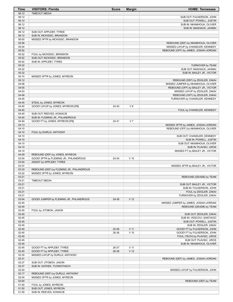| Time           | <b>VISITORS: Florida</b>                                         | <b>Score</b>   | <b>Margin</b>   | <b>HOME: Tennessee</b>                                                |
|----------------|------------------------------------------------------------------|----------------|-----------------|-----------------------------------------------------------------------|
| 06:12          | <b>TIMEOUT MEDIA</b>                                             |                |                 |                                                                       |
| 06:12          |                                                                  |                |                 | SUB OUT: FULKERSON, JOHN                                              |
| 06:12<br>06:12 |                                                                  |                |                 | SUB OUT: POWELL, JUSTIN                                               |
| 06:12          |                                                                  |                |                 | SUB IN: NKAMHOUA, OLIVIER<br>SUB IN: MASHACK, JAHMAI                  |
| 06:12          | SUB OUT: APPLEBY, TYREE                                          |                |                 |                                                                       |
| 06:12          | SUB IN: MCKISSIC, BRANDON                                        |                |                 |                                                                       |
| 06:00          | MISSED 3PTR by MCKISSIC, BRANDON                                 |                |                 |                                                                       |
| 05:56          |                                                                  |                |                 | REBOUND (DEF) by NKAMHOUA, OLIVIER                                    |
| 05:54          |                                                                  |                |                 | MISSED LAYUP by CHANDLER, KENNEDY                                     |
| 05:52          |                                                                  |                |                 | REBOUND (OFF) by JAMES, JOSIAH-JORDAN                                 |
| 05:52          | FOUL by MCKISSIC, BRANDON                                        |                |                 |                                                                       |
| 05:52<br>05:52 | SUB OUT: MCKISSIC, BRANDON<br>SUB IN: APPLEBY, TYREE             |                |                 |                                                                       |
| 05:32          |                                                                  |                |                 | <b>TURNOVER by TEAM</b>                                               |
| 05:32          |                                                                  |                |                 | SUB OUT: MASHACK, JAHMAI                                              |
| 05:32          |                                                                  |                |                 | SUB IN: BAILEY JR., VICTOR                                            |
| 05:15          | MISSED 3PTR by JONES, MYREON                                     |                |                 |                                                                       |
| 05:12          |                                                                  |                |                 | REBOUND (DEF) by ZEIGLER, ZAKAI                                       |
| 04:58<br>04:55 |                                                                  |                |                 | MISSED JUMPER by NKAMHOUA, OLIVIER                                    |
| 04:53          |                                                                  |                |                 | REBOUND (OFF) by BAILEY JR., VICTOR<br>MISSED LAYUP by ZEIGLER, ZAKAI |
| 04:48          |                                                                  |                |                 | REBOUND (OFF) by ZEIGLER, ZAKAI                                       |
| 04:45          |                                                                  |                |                 | TURNOVER by CHANDLER, KENNEDY                                         |
| 04:45          | STEAL by JONES, MYREON                                           |                |                 |                                                                       |
| 04:40          | GOOD! LAYUP by JONES, MYREON [FB]                                | 24-30          | $V_6$           |                                                                       |
| 04:40          |                                                                  |                |                 | FOUL by CHANDLER, KENNEDY                                             |
| 04:40<br>04:40 | SUB OUT: REEVES, KOWACIE<br>SUB IN: FLEMING JR., PHLANDROUS      |                |                 |                                                                       |
| 04:40          | GOOD! FT by JONES, MYREON [FB]                                   | 24-31          | V <sub>7</sub>  |                                                                       |
| 04:13          |                                                                  |                |                 | MISSED 3PTR by JAMES, JOSIAH-JORDAN                                   |
| 04:10          |                                                                  |                |                 | REBOUND (OFF) by NKAMHOUA, OLIVIER                                    |
| 04:10          | FOUL by DURUJI, ANTHONY                                          |                |                 |                                                                       |
| 04:10          |                                                                  |                |                 | SUB OUT: CHANDLER, KENNEDY                                            |
| 04:10<br>04:10 |                                                                  |                |                 | SUB IN: POWELL, JUSTIN<br>SUB OUT: NKAMHOUA, OLIVIER                  |
| 04:10          |                                                                  |                |                 | SUB IN: PLAVSIC, UROS                                                 |
| 04:10          |                                                                  |                |                 | MISSED FT by BAILEY JR., VICTOR                                       |
| 04:09          | REBOUND (DEF) by JONES, MYREON                                   |                |                 |                                                                       |
| 03:54          | GOOD! 3PTR by FLEMING JR., PHLANDROUS                            | 24-34          | $V$ 10          |                                                                       |
| 03:54          | ASSIST by APPLEBY, TYREE                                         |                |                 |                                                                       |
| 03:37<br>03:33 | REBOUND (DEF) by FLEMING JR., PHLANDROUS                         |                |                 | MISSED 3PTR by BAILEY JR., VICTOR                                     |
| 03:22          | MISSED 3PTR by JONES, MYREON                                     |                |                 |                                                                       |
| 03:21          |                                                                  |                |                 | REBOUND (DEADB) by TEAM                                               |
| 03:21          | <b>TIMEOUT MEDIA</b>                                             |                |                 |                                                                       |
| 03:21          |                                                                  |                |                 | SUB OUT: BAILEY JR., VICTOR                                           |
| 03:21          |                                                                  |                |                 | SUB IN: FULKERSON, JOHN                                               |
| 03:21<br>03:21 |                                                                  |                |                 | FOUL by ZEIGLER, ZAKAI<br>TURNOVER by ZEIGLER, ZAKAI                  |
| 03:04          | GOOD! JUMPER by FLEMING JR., PHLANDROUS                          | 24-36          | V <sub>12</sub> |                                                                       |
| 02:45          |                                                                  |                |                 | MISSED JUMPER by JAMES, JOSIAH-JORDAN                                 |
| 02:45          |                                                                  |                |                 | REBOUND (DEADB) by TEAM                                               |
| 02:45          | FOUL by JITOBOH, JASON                                           |                |                 |                                                                       |
| 02:45          |                                                                  |                |                 | SUB OUT: ZEIGLER, ZAKAI                                               |
| 02:45<br>02:45 |                                                                  |                |                 | SUB IN: VESCOVI, SANTIAGO<br>SUB OUT: POWELL, JUSTIN                  |
| 02:45          |                                                                  |                |                 | SUB IN: ZEIGLER, ZAKAI                                                |
| 02:45          |                                                                  | 25-36          | $V$ 11          | GOOD! FT by FULKERSON, JOHN                                           |
| 02:45          |                                                                  | 26-36          | $V$ 10          | GOOD! FT by FULKERSON, JOHN                                           |
| 02:45          |                                                                  |                |                 | FOUL (TECH) by PLAVSIC, UROS                                          |
| 02:45          |                                                                  |                |                 | SUB OUT: PLAVSIC, UROS                                                |
| 02:45<br>02:45 | GOOD! FT by APPLEBY, TYREE                                       |                | V <sub>11</sub> | SUB IN: NKAMHOUA, OLIVIER                                             |
| 02:45          | GOOD! FT by APPLEBY, TYREE                                       | 26-37<br>26-38 | V <sub>12</sub> |                                                                       |
| 02:35          | MISSED LAYUP by DURUJI, ANTHONY                                  |                |                 |                                                                       |
| 02:31          |                                                                  |                |                 | REBOUND (DEF) by JAMES, JOSIAH-JORDAN                                 |
| 02:27          | SUB OUT: JITOBOH, JASON                                          |                |                 |                                                                       |
| 02:27          | SUB IN: GATKEK, TUONGTHACH                                       |                |                 |                                                                       |
| 02:20          |                                                                  |                |                 | MISSED LAYUP by FULKERSON, JOHN                                       |
| 02:17<br>02:04 | REBOUND (DEF) by DURUJI, ANTHONY<br>MISSED 3PTR by JONES, MYREON |                |                 |                                                                       |
| 02:00          |                                                                  |                |                 | REBOUND (DEF) by TEAM                                                 |
| 01:50          | FOUL by JONES, MYREON                                            |                |                 |                                                                       |
| 01:50          | SUB OUT: JONES, MYREON                                           |                |                 |                                                                       |
| 01:50          | SUB IN: REEVES, KOWACIE                                          |                |                 |                                                                       |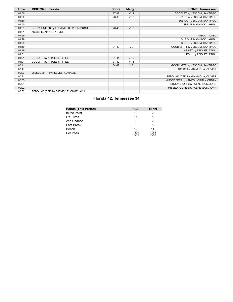| <b>Time</b> | <b>VISITORS: Florida</b>                | <b>Score</b> | <b>Margin</b>   | <b>HOME: Tennessee</b>              |
|-------------|-----------------------------------------|--------------|-----------------|-------------------------------------|
| 01:50       |                                         | 27-38        | V <sub>11</sub> | GOOD! FT by VESCOVI, SANTIAGO       |
| 01:50       |                                         | 28-38        | $V$ 10          | GOOD! FT by VESCOVI, SANTIAGO       |
| 01:50       |                                         |              |                 | SUB OUT: VESCOVI, SANTIAGO          |
| 01:50       |                                         |              |                 | SUB IN: MASHACK, JAHMAI             |
| 01:31       | GOOD! JUMPER by FLEMING JR., PHLANDROUS | 28-40        | V <sub>12</sub> |                                     |
| 01:31       | ASSIST by APPLEBY, TYREE                |              |                 |                                     |
| 01:29       |                                         |              |                 | TIMEOUT 30SEC                       |
| 01:29       |                                         |              |                 | SUB OUT: MASHACK, JAHMAI            |
| 01:29       |                                         |              |                 | SUB IN: VESCOVI, SANTIAGO           |
| 01:19       |                                         | $31 - 40$    | V <sub>9</sub>  | GOOD! 3PTR by VESCOVI, SANTIAGO     |
| 01:19       |                                         |              |                 | ASSIST by ZEIGLER, ZAKAI            |
| 01:01       |                                         |              |                 | FOUL by ZEIGLER, ZAKAI              |
| 01:01       | GOOD! FT by APPLEBY, TYREE              | $31 - 41$    | $V$ 10          |                                     |
| 01:01       | GOOD! FT by APPLEBY, TYREE              | $31 - 42$    | V <sub>11</sub> |                                     |
| 00:41       |                                         | 34-42        | V <sub>8</sub>  | GOOD! 3PTR by VESCOVI, SANTIAGO     |
| 00:41       |                                         |              |                 | ASSIST by NKAMHOUA, OLIVIER         |
| 00:23       | MISSED 3PTR by REEVES, KOWACIE          |              |                 |                                     |
| 00:21       |                                         |              |                 | REBOUND (DEF) by NKAMHOUA, OLIVIER  |
| 00:05       |                                         |              |                 | MISSED 3PTR by JAMES, JOSIAH-JORDAN |
| 00:04       |                                         |              |                 | REBOUND (OFF) by FULKERSON, JOHN    |
| 00:02       |                                         |              |                 | MISSED JUMPER by FULKERSON, JOHN    |
| 00:02       | REBOUND (DEF) by GATKEK, TUONGTHACH     |              |                 |                                     |

# **Florida 42, Tennessee 34**

| <b>Points (This Period)</b> | <b>FLA</b>     | <b>TENN</b>    |
|-----------------------------|----------------|----------------|
| In the Paint                | 12             |                |
| Off Turns                   |                |                |
| 2nd Chance                  |                |                |
| Fast Break                  |                |                |
| Bench                       | 12             |                |
| Per Poss                    | 1.200<br>18/35 | 1.063<br>13/32 |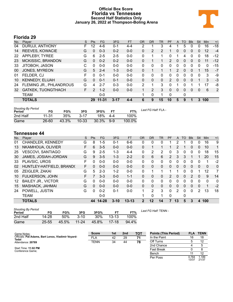### **Official Box Score Florida vs Tennessee Second Half Statistics Only January 26, 2022 at Thompson-Boling Arena**



# **Florida 29**

| No. | Player                    | S  | Pts      | FG        | 3FG      | <b>FT</b> | <b>OR</b>    | <b>DR</b> | TR             | PF       | A             | TO       | <b>B</b> lk | Stl      | <b>Min</b> | $+/-$ |
|-----|---------------------------|----|----------|-----------|----------|-----------|--------------|-----------|----------------|----------|---------------|----------|-------------|----------|------------|-------|
| 04  | DURUJI, ANTHONY           | F. | 12       | 4-6       | 0-1      | 4-4       | 2            |           | 3              | 4        |               | 5        | $\Omega$    | 0        | 16         | $-18$ |
| 14  | REEVES, KOWACIE           | G  | $\Omega$ | $0 - 3$   | $0 - 2$  | $0 - 0$   | 0            | 2         | $\overline{2}$ |          | 0             | 0        | 0           | 0        | 12         | $-4$  |
| 22  | APPLEBY, TYREE            | G  | 6        | $2 - 5$   | $2 - 5$  | $0 - 0$   | 0            | 1         | 1              | 0        |               | 4        | 0           | 0        | 18         | $-12$ |
| 23  | MCKISSIC, BRANDON         | G  | 0        | $0 - 2$   | $0 - 2$  | $0 - 0$   | 0            |           |                | 2        | 0             | 0        | 0           | $\Omega$ | 11         | $-12$ |
| 33  | JITOBOH, JASON            | C  | $\Omega$ | $0 - 0$   | $0 - 0$  | $0 - 0$   | $\Omega$     | 0         | 0              | $\Omega$ | 0             | 0        | 0           | $\Omega$ | $\Omega$   | $-15$ |
| 00  | JONES, MYREON             | G  | 5        | $2 - 4$   | $1 - 3$  | $0 - 0$   | 0            | 1         |                | 1        | $\mathcal{P}$ | $\Omega$ | $\Omega$    | 1        | 15         | $-7$  |
| 01  | FELDER, CJ                | F  | 0        | $0 - 1$   | $0 - 0$  | $0 - 0$   | $\Omega$     | 0         | 0              | 0        | 0             | 0        | $\Omega$    | 0        | 3          | -9    |
| 10  | <b>KENNEDY, ELIJAH</b>    | G  | $\Omega$ | $0 - 1$   | $0 - 1$  | $0 - 0$   | 0            | 0         | 0              | 2        | 0             | $\Omega$ | $\Omega$    |          | 3          | $-3$  |
| 24  | FLEMING JR., PHLANDROUS   | G  | 4        | $2 - 7$   | $0 - 3$  | $0 - 0$   | 2            | 1         | 3              | 0        |               | 0        |             |          | 17         | -8    |
| 32  | <b>GATKEK, TUONGTHACH</b> | F. | 2        | $1 - 2$   | $0 - 0$  | $0 - 0$   | $\mathbf{1}$ | 2         | 3              | 0        | 0             | 0        | 0           | $\Omega$ | 6          | 2     |
|     | <b>TEAM</b>               |    |          | $0 - 0$   |          |           | 1            | 0         | 1              | $\Omega$ |               | 0        |             |          |            |       |
|     | <b>TOTALS</b>             |    | 29       | $11 - 31$ | $3 - 17$ | 4-4       | 6            | 9         | 15             | 10       | 5             | 9        |             | 3        | 100        |       |

| <b>Shooting By Period</b><br>Period | FG        | FG%   | 3FG       | 3FG%  | FТ    | FT%    | Last FG Half: FLA - |
|-------------------------------------|-----------|-------|-----------|-------|-------|--------|---------------------|
| 2nd Half                            | $11 - 31$ | 35%   | $3 - 17$  | 18%   | 4-4   | 100%   |                     |
| Game                                | 26-60     | 43.3% | $10 - 33$ | 30.3% | $9-9$ | 100.0% |                     |

# **Tennessee 44**

| No. | Plaver                    | S | <b>Pts</b> | <b>FG</b> | 3FG      | <b>FT</b> | <b>OR</b>    | <b>DR</b> | TR           | <b>PF</b>      | A        | TO | <b>Blk</b>   | Stl      | Min            | $+/-$        |
|-----|---------------------------|---|------------|-----------|----------|-----------|--------------|-----------|--------------|----------------|----------|----|--------------|----------|----------------|--------------|
| 01  | CHANDLER, KENNEDY         | G | 8          | $1 - 5$   | $0 - 1$  | $6-6$     | 0            | 0         | 0            |                | 2        |    | 0            | 0        | 16             | 9            |
| 13  | NKAMHOUA, OLIVIER         | F | 6          | $3 - 5$   | $0 - 0$  | $0 - 0$   | $\Omega$     |           |              |                | 2        |    | $\mathbf{0}$ | $\Omega$ | 10             | 1            |
| 25  | <b>VESCOVI, SANTIAGO</b>  | G | 9          | $2 - 5$   | $1 - 3$  | $4 - 4$   | 0            | 2         | 2            | 0              | 3        | 0  | 0            | 0        | 18             | 15           |
| 30  | JAMES, JOSIAH-JORDAN      | G | 9          | $3 - 5$   | $1 - 3$  | $2 - 2$   | 0            | 6         | 6            | $\mathcal{P}$  | 3        | 3  |              |          | 20             | 15           |
| 33  | PLAVSIC, UROS             | F | 0          | $0 - 0$   | $0 - 0$  | $0 - 0$   | 0            | 0         | $\mathbf{0}$ | 0              | 0        | 0  | 0            | 0        |                | $-2$         |
| 02  | HUNTLEY-HATFIELD, BRAND(  | F | 0          | $0 - 0$   | $0 - 0$  | $0 - 0$   | $\Omega$     | 0         | $\Omega$     | 0              | $\Omega$ | 0  | $\Omega$     | $\Omega$ | $\overline{0}$ | $\mathbf{0}$ |
| 05  | <b>ZEIGLER, ZAKAI</b>     | G | 5          | $2 - 3$   | $1 - 2$  | $0 - 0$   | $\Omega$     |           |              |                | 1        | 0  | $\Omega$     |          | 12             | 7            |
| 10  | FULKERSON, JOHN           | F |            | $3 - 3$   | $0 - 0$  | $1 - 1$   | $\Omega$     | 0         | 0            | 2              | 0        | 0  | 2            | $\Omega$ | 9              | 14           |
| 12  | <b>BAILEY JR., VICTOR</b> | G | 0          | $0 - 0$   | $0 - 0$  | $0 - 0$   | 0            | $\Omega$  | $\Omega$     | 0              | 0        | 0  | 0            | 0        | 0              | 0            |
| 15  | MASHACK, JAHMAI           | G | $\Omega$   | $0 - 0$   | $0 - 0$  | $0 - 0$   | 0            | $\Omega$  | $\Omega$     | $\Omega$       | 0        | 0  | $\Omega$     | $\Omega$ | 1              | $-2$         |
| 24  | POWELL, JUSTIN            | G | $\Omega$   | $0 - 2$   | $0 - 1$  | $0 - 0$   | 1            | 2         | 3            | 0              | 2        | 0  | $\Omega$     | 2        | 13             | 18           |
|     | <b>TEAM</b>               |   |            | $0 - 0$   |          |           | 1            | $\Omega$  |              | $\Omega$       |          | 0  |              |          |                |              |
|     | <b>TOTALS</b>             |   |            | 44 14-28  | $3 - 10$ | $13 - 13$ | $\mathbf{2}$ | 12        | 14           | $\overline{7}$ | 13       | 5  | 3            | 4        | 100            |              |
|     |                           |   |            |           |          |           |              |           |              |                |          |    |              |          |                |              |

| <b>Shooting By Period</b><br>Period | FG        | FG%   | 3FG       | 3FG%  | FТ        | FT%   |  |
|-------------------------------------|-----------|-------|-----------|-------|-----------|-------|--|
| 2nd Half                            | 14-28     | 50%   | $3 - 10$  | 30%   | $13 - 13$ | 100%  |  |
| Game                                | $25 - 55$ | 45.5% | $11 - 24$ | 45.8% | $17-18$   | 94.4% |  |

*Last FG Half:* TENN -

| Game Notes:                                                 | <b>Score</b> | 1st | 2 <sub>nd</sub> | TOT | <b>Points (This Period)</b> | <b>FLA</b>     | <b>TENN</b>    |
|-------------------------------------------------------------|--------------|-----|-----------------|-----|-----------------------------|----------------|----------------|
| Officials: Pat Adams, Bart Lenox, Vladimir Voyard-<br>Tadal | <b>FLA</b>   | 42  | 29              | 71  | In the Paint                | 16             | 18             |
| Attendance: 20789                                           | TENN         | 34  | 44              | 78  | Off Turns                   |                | 12             |
|                                                             |              |     |                 |     | 2nd Chance                  |                |                |
| Start Time: <b>11:02 PM</b><br>Conference Game:             |              |     |                 |     | <b>Fast Break</b>           |                |                |
|                                                             |              |     |                 |     | Bench                       |                | 12             |
|                                                             |              |     |                 |     | Per Poss                    | 0.784<br>13/37 | 1.189<br>21/37 |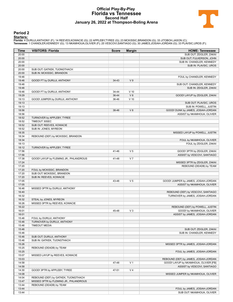#### **Official Play-By-Play Florida vs Tennessee Second Half January 26, 2022 at Thompson-Boling Arena**



#### **Period 2**

#### **Starters:**

Florida: 4 DURUJI,ANTHONY (F); 14 REEVES,KOWACIE (G); 22 APPLEBY,TYREE (G); 23 MCKISSIC,BRANDON (G); 33 JITOBOH,JASON (C);<br>Tennessee: 1 CHANDLER,KENNEDY (G); 13 NKAMHOUA,OLIVIER (F); 25 VESCOVI,SANTIAGO (G); 30 JAMES,JOSIA

| <b>Time</b>    | <b>VISITORS: Florida</b>                          | <b>Score</b> | <b>Margin</b>  | <b>HOME: Tennessee</b>                                              |
|----------------|---------------------------------------------------|--------------|----------------|---------------------------------------------------------------------|
| 20:00          |                                                   |              |                | SUB OUT: ZEIGLER, ZAKAI                                             |
| 20:00          |                                                   |              |                | SUB OUT: FULKERSON, JOHN                                            |
| 20:00          |                                                   |              |                | SUB IN: CHANDLER, KENNEDY                                           |
| 20:00          |                                                   |              |                | SUB IN: PLAVSIC, UROS                                               |
| 20:00          | SUB OUT: GATKEK, TUONGTHACH                       |              |                |                                                                     |
| 20:00<br>19:46 | SUB IN: MCKISSIC, BRANDON                         |              |                |                                                                     |
| 19:46          | GOOD! FT by DURUJI, ANTHONY                       | $34 - 43$    | V <sub>9</sub> | FOUL by CHANDLER, KENNEDY                                           |
| 19:46          |                                                   |              |                | SUB OUT: CHANDLER, KENNEDY                                          |
| 19:46          |                                                   |              |                | SUB IN: ZEIGLER, ZAKAI                                              |
| 19:46          | GOOD! FT by DURUJI, ANTHONY                       | 34-44        | $V$ 10         |                                                                     |
| 19:29          |                                                   | 36-44        | V8             | GOOD! LAYUP by ZEIGLER, ZAKAI                                       |
| 19:13          | GOOD! JUMPER by DURUJI, ANTHONY                   | 36-46        | $V$ 10         |                                                                     |
| 19:13          |                                                   |              |                | SUB OUT: PLAVSIC, UROS                                              |
| 19:13          |                                                   |              |                | SUB IN: POWELL, JUSTIN                                              |
| 18:56          |                                                   | 38-46        | V8             | GOOD! DUNK by JAMES, JOSIAH-JORDAN                                  |
| 18:56          |                                                   |              |                | ASSIST by NKAMHOUA, OLIVIER                                         |
| 18:52          | TURNOVER by APPLEBY, TYREE                        |              |                |                                                                     |
| 18:52          | TIMEOUT 30SEC                                     |              |                |                                                                     |
| 18:52<br>18:52 | SUB OUT: REEVES, KOWACIE<br>SUB IN: JONES, MYREON |              |                |                                                                     |
| 18:35          |                                                   |              |                | MISSED LAYUP by POWELL, JUSTIN                                      |
| 18:34          | REBOUND (DEF) by MCKISSIC, BRANDON                |              |                |                                                                     |
| 18:34          |                                                   |              |                | FOUL by NKAMHOUA, OLIVIER                                           |
| 18:13          |                                                   |              |                | FOUL by ZEIGLER, ZAKAI                                              |
| 18:12          | TURNOVER by APPLEBY, TYREE                        |              |                |                                                                     |
| 17:56          |                                                   | 41-46        | V <sub>5</sub> | GOOD! 3PTR by ZEIGLER, ZAKAI                                        |
| 17:56          |                                                   |              |                | ASSIST by VESCOVI, SANTIAGO                                         |
| 17:38          | GOOD! LAYUP by FLEMING JR., PHLANDROUS            | 41-48        | V <sub>7</sub> |                                                                     |
| 17:24          |                                                   |              |                | MISSED 3PTR by ZEIGLER, ZAKAI                                       |
| 17:20          |                                                   |              |                | REBOUND (DEADB) by TEAM                                             |
| 17:20          | FOUL by MCKISSIC, BRANDON                         |              |                |                                                                     |
| 17:20          | SUB OUT: MCKISSIC, BRANDON                        |              |                |                                                                     |
| 17:20          | SUB IN: REEVES, KOWACIE                           |              |                |                                                                     |
| 17:05<br>17:05 |                                                   | 43-48        | V <sub>5</sub> | GOOD! JUMPER by JAMES, JOSIAH-JORDAN<br>ASSIST by NKAMHOUA, OLIVIER |
| 16:46          | MISSED 3PTR by DURUJI, ANTHONY                    |              |                |                                                                     |
| 16:40          |                                                   |              |                | REBOUND (DEF) by VESCOVI, SANTIAGO                                  |
| 16:32          |                                                   |              |                | TURNOVER by JAMES, JOSIAH-JORDAN                                    |
| 16:32          | STEAL by JONES, MYREON                            |              |                |                                                                     |
| 16:26          | MISSED 3PTR by REEVES, KOWACIE                    |              |                |                                                                     |
| 16:22          |                                                   |              |                | REBOUND (DEF) by POWELL, JUSTIN                                     |
| 16:01          |                                                   | 45-48        | $V_3$          | GOOD! by NKAMHOUA, OLIVIER                                          |
| 16:01          |                                                   |              |                | ASSIST by JAMES, JOSIAH-JORDAN                                      |
| 15:46          | FOUL by DURUJI, ANTHONY                           |              |                |                                                                     |
| 15:46          | TURNOVER by DURUJI, ANTHONY                       |              |                |                                                                     |
| 15:46          | <b>TIMEOUT MEDIA</b>                              |              |                |                                                                     |
| 15:46<br>15:46 |                                                   |              |                | SUB OUT: ZEIGLER, ZAKAI<br>SUB IN: CHANDLER, KENNEDY                |
| 15:46          | SUB OUT: DURUJI, ANTHONY                          |              |                |                                                                     |
| 15:46          | SUB IN: GATKEK, TUONGTHACH                        |              |                |                                                                     |
| 15:26          |                                                   |              |                | MISSED 3PTR by JAMES, JOSIAH-JORDAN                                 |
| 15:25          | REBOUND (DEADB) by TEAM                           |              |                |                                                                     |
| 15:25          |                                                   |              |                | FOUL by JAMES, JOSIAH-JORDAN                                        |
| 15:07          | MISSED LAYUP by REEVES, KOWACIE                   |              |                |                                                                     |
| 15:03          |                                                   |              |                | REBOUND (DEF) by JAMES, JOSIAH-JORDAN                               |
| 14:58          |                                                   | 47-48        | V <sub>1</sub> | GOOD! LAYUP by NKAMHOUA, OLIVIER [FB]                               |
| 14:58          |                                                   |              |                | ASSIST by VESCOVI, SANTIAGO                                         |
| 14:30          | GOOD! 3PTR by APPLEBY, TYREE                      | 47-51        | V <sub>4</sub> |                                                                     |
| 14:08          |                                                   |              |                | MISSED JUMPER by NKAMHOUA, OLIVIER                                  |
| 14:04          | REBOUND (DEF) by GATKEK, TUONGTHACH               |              |                |                                                                     |
| 13:47          | MISSED 3PTR by FLEMING JR., PHLANDROUS            |              |                |                                                                     |
| 13:44<br>13:44 | REBOUND (DEADB) by TEAM                           |              |                |                                                                     |
| 13:44          |                                                   |              |                | FOUL by JAMES, JOSIAH-JORDAN<br>SUB OUT: NKAMHOUA, OLIVIER          |
|                |                                                   |              |                |                                                                     |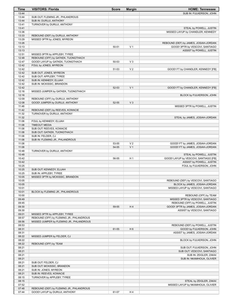| Time           | <b>VISITORS: Florida</b>                                            | <b>Score</b> | <b>Margin</b>  | <b>HOME: Tennessee</b>                                            |
|----------------|---------------------------------------------------------------------|--------------|----------------|-------------------------------------------------------------------|
| 13:44          |                                                                     |              |                | SUB IN: FULKERSON, JOHN                                           |
| 13:44          | SUB OUT: FLEMING JR., PHLANDROUS                                    |              |                |                                                                   |
| 13:44          | SUB IN: DURUJI, ANTHONY                                             |              |                |                                                                   |
| 13:41          | TURNOVER by DURUJI, ANTHONY                                         |              |                |                                                                   |
| 13:41          |                                                                     |              |                | STEAL by POWELL, JUSTIN                                           |
| 13:36          |                                                                     |              |                | MISSED LAYUP by CHANDLER, KENNEDY                                 |
| 13:33<br>13:29 | REBOUND (DEF) by DURUJI, ANTHONY<br>MISSED 3PTR by JONES, MYREON    |              |                |                                                                   |
| 13:26          |                                                                     |              |                | REBOUND (DEF) by JAMES, JOSIAH-JORDAN                             |
| 13:13          |                                                                     | 50-51        | V <sub>1</sub> | GOOD! 3PTR by VESCOVI, SANTIAGO                                   |
| 13:13          |                                                                     |              |                | ASSIST by POWELL, JUSTIN                                          |
| 12:51          | MISSED 3PTR by APPLEBY, TYREE                                       |              |                |                                                                   |
| 12:48          | REBOUND (OFF) by GATKEK, TUONGTHACH                                 |              |                |                                                                   |
| 12:47          | GOOD! LAYUP by GATKEK, TUONGTHACH                                   | 50-53        | $V_3$          |                                                                   |
| 12:42          | FOUL by JONES, MYREON                                               |              |                |                                                                   |
| 12:42          |                                                                     | 51-53        | V <sub>2</sub> | GOOD! FT by CHANDLER, KENNEDY [FB]                                |
| 12:42          | SUB OUT: JONES, MYREON                                              |              |                |                                                                   |
| 12:42          | SUB OUT: APPLEBY, TYREE                                             |              |                |                                                                   |
| 12:42          | SUB IN: KENNEDY, ELIJAH                                             |              |                |                                                                   |
| 12:42          | SUB IN: MCKISSIC, BRANDON                                           |              |                |                                                                   |
| 12:42          |                                                                     | 52-53        | V <sub>1</sub> | GOOD! FT by CHANDLER, KENNEDY [FB]                                |
| 12:16          | MISSED JUMPER by GATKEK, TUONGTHACH                                 |              |                |                                                                   |
| 12:16          |                                                                     |              |                | BLOCK by FULKERSON, JOHN                                          |
| 12:09<br>12:08 | REBOUND (OFF) by DURUJI, ANTHONY<br>GOOD! JUMPER by DURUJI, ANTHONY | 52-55        | $V_3$          |                                                                   |
| 11:48          |                                                                     |              |                | MISSED 3PTR by POWELL, JUSTIN                                     |
| 11:42          | REBOUND (DEF) by REEVES, KOWACIE                                    |              |                |                                                                   |
| 11:32          | TURNOVER by DURUJI, ANTHONY                                         |              |                |                                                                   |
| 11:32          |                                                                     |              |                | STEAL by JAMES, JOSIAH-JORDAN                                     |
| 11:08          | FOUL by KENNEDY, ELIJAH                                             |              |                |                                                                   |
| 11:08          | <b>TIMEOUT MEDIA</b>                                                |              |                |                                                                   |
| 11:08          | SUB OUT: REEVES, KOWACIE                                            |              |                |                                                                   |
| 11:08          | SUB OUT: GATKEK, TUONGTHACH                                         |              |                |                                                                   |
| 11:08          | SUB IN: FELDER, CJ                                                  |              |                |                                                                   |
| 11:08          | SUB IN: FLEMING JR., PHLANDROUS                                     |              |                |                                                                   |
| 11:08          |                                                                     | 53-55        | V <sub>2</sub> | GOOD! FT by JAMES, JOSIAH-JORDAN                                  |
| 11:08          |                                                                     | 54-55        | V <sub>1</sub> | GOOD! FT by JAMES, JOSIAH-JORDAN                                  |
| 10:48          | TURNOVER by DURUJI, ANTHONY                                         |              |                |                                                                   |
| 10:48<br>10:42 |                                                                     | 56-55        | H <sub>1</sub> | STEAL by POWELL, JUSTIN<br>GOOD! LAYUP by VESCOVI, SANTIAGO [FB]  |
| 10:42          |                                                                     |              |                | ASSIST by POWELL, JUSTIN                                          |
| 10:25          |                                                                     |              |                | FOUL by FULKERSON, JOHN                                           |
| 10:25          | SUB OUT: KENNEDY, ELIJAH                                            |              |                |                                                                   |
| 10:25          | SUB IN: APPLEBY, TYREE                                              |              |                |                                                                   |
| 10:05          | MISSED 3PTR by MCKISSIC, BRANDON                                    |              |                |                                                                   |
| 10:05          |                                                                     |              |                | REBOUND (DEF) by VESCOVI, SANTIAGO                                |
| 10:05          |                                                                     |              |                | BLOCK by JAMES, JOSIAH-JORDAN                                     |
| 10:01          |                                                                     |              |                | MISSED LAYUP by VESCOVI, SANTIAGO                                 |
| 10:01          | BLOCK by FLEMING JR., PHLANDROUS                                    |              |                |                                                                   |
| 10:00          |                                                                     |              |                | REBOUND (OFF) by TEAM                                             |
| 09:49          |                                                                     |              |                | MISSED 3PTR by VESCOVI, SANTIAGO                                  |
| 09:45          |                                                                     |              |                | REBOUND (OFF) by POWELL, JUSTIN                                   |
| 09:30<br>09:30 |                                                                     | 59-55        | H4             | GOOD! 3PTR by JAMES, JOSIAH-JORDAN<br>ASSIST by VESCOVI, SANTIAGO |
| 09:01          | MISSED 3PTR by APPLEBY, TYREE                                       |              |                |                                                                   |
| 08:57          | REBOUND (OFF) by FLEMING JR., PHLANDROUS                            |              |                |                                                                   |
| 08:56          | MISSED JUMPER by FLEMING JR., PHLANDROUS                            |              |                |                                                                   |
| 08:53          |                                                                     |              |                | REBOUND (DEF) by POWELL, JUSTIN                                   |
| 08:31          |                                                                     | 61-55        | H <sub>6</sub> | GOOD! by FULKERSON, JOHN                                          |
| 08:31          |                                                                     |              |                | ASSIST by JAMES, JOSIAH-JORDAN                                    |
| 08:22          | MISSED JUMPER by FELDER, CJ                                         |              |                |                                                                   |
| 08:22          |                                                                     |              |                | BLOCK by FULKERSON, JOHN                                          |
| 08:22          | REBOUND (OFF) by TEAM                                               |              |                |                                                                   |
| 08:21          |                                                                     |              |                | SUB OUT: FULKERSON, JOHN                                          |
| 08:21          |                                                                     |              |                | SUB OUT: VESCOVI, SANTIAGO                                        |
| 08:21          |                                                                     |              |                | SUB IN: ZEIGLER, ZAKAI                                            |
| 08:21          |                                                                     |              |                | SUB IN: NKAMHOUA, OLIVIER                                         |
| 08:21          | SUB OUT: FELDER, CJ                                                 |              |                |                                                                   |
| 08:21          | SUB OUT: MCKISSIC, BRANDON                                          |              |                |                                                                   |
| 08:21<br>08:21 | SUB IN: JONES, MYREON<br>SUB IN: REEVES, KOWACIE                    |              |                |                                                                   |
| 08:15          | TURNOVER by APPLEBY, TYREE                                          |              |                |                                                                   |
| 08:15          |                                                                     |              |                | STEAL by ZEIGLER, ZAKAI                                           |
| 07:52          |                                                                     |              |                | MISSED LAYUP by NKAMHOUA, OLIVIER                                 |
| 07:48          | REBOUND (DEF) by FLEMING JR., PHLANDROUS                            |              |                |                                                                   |
| 07:44          | GOOD! LAYUP by DURUJI, ANTHONY                                      | 61-57        | H4             |                                                                   |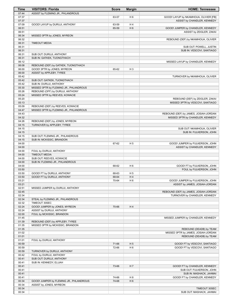| Time           | <b>VISITORS: Florida</b>                               | <b>Score</b> | <b>Margin</b>  | <b>HOME: Tennessee</b>                                 |
|----------------|--------------------------------------------------------|--------------|----------------|--------------------------------------------------------|
| 07:44          | ASSIST by FLEMING JR., PHLANDROUS                      |              |                |                                                        |
| 07:37          |                                                        | 63-57        | H <sub>6</sub> | GOOD! LAYUP by NKAMHOUA, OLIVIER [FB]                  |
| 07:37          |                                                        |              |                | ASSIST by CHANDLER, KENNEDY                            |
| 07:09          | GOOD! LAYUP by DURUJI, ANTHONY                         | 63-59        | H4             |                                                        |
| 06:51          |                                                        | 65-59        | H <sub>6</sub> | GOOD! JUMPER by CHANDLER, KENNEDY                      |
| 06:51<br>06:34 | MISSED 3PTR by JONES, MYREON                           |              |                | ASSIST by ZEIGLER, ZAKAI                               |
| 06:32          |                                                        |              |                | REBOUND (DEF) by NKAMHOUA, OLIVIER                     |
| 06:31          | <b>TIMEOUT MEDIA</b>                                   |              |                |                                                        |
| 06:31          |                                                        |              |                | SUB OUT: POWELL, JUSTIN                                |
| 06:31          |                                                        |              |                | SUB IN: VESCOVI, SANTIAGO                              |
| 06:31          | SUB OUT: DURUJI, ANTHONY                               |              |                |                                                        |
| 06:31          | SUB IN: GATKEK, TUONGTHACH                             |              |                |                                                        |
| 06:12          |                                                        |              |                | MISSED LAYUP by CHANDLER, KENNEDY                      |
| 06:08          | REBOUND (DEF) by GATKEK, TUONGTHACH                    |              |                |                                                        |
| 06:00          | GOOD! 3PTR by JONES, MYREON                            | 65-62        | $H_3$          |                                                        |
| 06:00          | ASSIST by APPLEBY, TYREE                               |              |                |                                                        |
| 05:42<br>05:42 | SUB OUT: GATKEK, TUONGTHACH                            |              |                | TURNOVER by NKAMHOUA, OLIVIER                          |
| 05:42          | SUB IN: DURUJI, ANTHONY                                |              |                |                                                        |
| 05:30          | MISSED 3PTR by FLEMING JR., PHLANDROUS                 |              |                |                                                        |
| 05:26          | REBOUND (OFF) by DURUJI, ANTHONY                       |              |                |                                                        |
| 05:24          | MISSED 3PTR by REEVES, KOWACIE                         |              |                |                                                        |
| 05:20          |                                                        |              |                | REBOUND (DEF) by ZEIGLER, ZAKAI                        |
| 05:13          |                                                        |              |                | MISSED 3PTR by VESCOVI, SANTIAGO                       |
| 05:09          | REBOUND (DEF) by REEVES, KOWACIE                       |              |                |                                                        |
| 04:47          | MISSED 3PTR by FLEMING JR., PHLANDROUS                 |              |                |                                                        |
| 04:43          |                                                        |              |                | REBOUND (DEF) by JAMES, JOSIAH-JORDAN                  |
| 04:32          |                                                        |              |                | MISSED 3PTR by CHANDLER, KENNEDY                       |
| 04:26          | REBOUND (DEF) by JONES, MYREON                         |              |                |                                                        |
| 04:15<br>04:15 | TURNOVER by APPLEBY, TYREE                             |              |                |                                                        |
| 04:15          |                                                        |              |                | SUB OUT: NKAMHOUA, OLIVIER<br>SUB IN: FULKERSON, JOHN  |
| 04:15          | SUB OUT: FLEMING JR., PHLANDROUS                       |              |                |                                                        |
| 04:15          | SUB IN: MCKISSIC, BRANDON                              |              |                |                                                        |
| 04:00          |                                                        | 67-62        | H <sub>5</sub> | GOOD! JUMPER by FULKERSON, JOHN                        |
| 04:00          |                                                        |              |                | ASSIST by CHANDLER, KENNEDY                            |
| 04:00          | FOUL by DURUJI, ANTHONY                                |              |                |                                                        |
| 04:00          | <b>TIMEOUT MEDIA</b>                                   |              |                |                                                        |
| 04:00          | SUB OUT: REEVES, KOWACIE                               |              |                |                                                        |
| 04:00          | SUB IN: FLEMING JR., PHLANDROUS                        |              |                |                                                        |
| 04:00<br>03:50 |                                                        | 68-62        | H <sub>6</sub> | GOOD! FT by FULKERSON, JOHN<br>FOUL by FULKERSON, JOHN |
| 03:50          | GOOD! FT by DURUJI, ANTHONY                            | 68-63        | H <sub>5</sub> |                                                        |
| 03:50          | GOOD! FT by DURUJI, ANTHONY                            | 68-64        | H4             |                                                        |
| 03:21          |                                                        | 70-64        | H <sub>6</sub> | GOOD! JUMPER by FULKERSON, JOHN                        |
| 03:21          |                                                        |              |                | ASSIST by JAMES, JOSIAH-JORDAN                         |
| 02:51          | MISSED JUMPER by DURUJI, ANTHONY                       |              |                |                                                        |
| 02:45          |                                                        |              |                | REBOUND (DEF) by JAMES, JOSIAH-JORDAN                  |
| 02:34          |                                                        |              |                | TURNOVER by CHANDLER, KENNEDY                          |
| 02:34          | STEAL by FLEMING JR., PHLANDROUS                       |              |                |                                                        |
| 02:32          | TIMEOUT 30SEC                                          |              |                |                                                        |
| 02:24          | GOOD! JUMPER by JONES, MYREON                          | 70-66        | H4             |                                                        |
| 02:24<br>02:00 | ASSIST by DURUJI, ANTHONY<br>FOUL by MCKISSIC, BRANDON |              |                |                                                        |
| 01:45          |                                                        |              |                | MISSED JUMPER by CHANDLER, KENNEDY                     |
| 01:39          | REBOUND (DEF) by APPLEBY, TYREE                        |              |                |                                                        |
| 01:35          | MISSED 3PTR by MCKISSIC, BRANDON                       |              |                |                                                        |
| 01:35          |                                                        |              |                | REBOUND (DEADB) by TEAM                                |
| 01:02          |                                                        |              |                | MISSED 3PTR by JAMES, JOSIAH-JORDAN                    |
| 01:01          |                                                        |              |                | REBOUND (DEADB) by TEAM                                |
| 01:01          | FOUL by DURUJI, ANTHONY                                |              |                |                                                        |
| 00:59          |                                                        | 71-66        | H <sub>5</sub> | GOOD! FT by VESCOVI, SANTIAGO                          |
| 00:59          |                                                        | 72-66        | H <sub>6</sub> | GOOD! FT by VESCOVI, SANTIAGO                          |
| 00:59<br>00:42 | TURNOVER by DURUJI, ANTHONY<br>FOUL by DURUJI, ANTHONY |              |                |                                                        |
| 00:41          | SUB OUT: DURUJI, ANTHONY                               |              |                |                                                        |
| 00:41          | SUB IN: KENNEDY, ELIJAH                                |              |                |                                                        |
| 00:41          |                                                        | 73-66        | H 7            | GOOD! FT by CHANDLER, KENNEDY                          |
| 00:41          |                                                        |              |                | SUB OUT: FULKERSON, JOHN                               |
| 00:41          |                                                        |              |                | SUB IN: MASHACK, JAHMAI                                |
| 00:41          |                                                        | 74-66        | H <sub>8</sub> | GOOD! FT by CHANDLER, KENNEDY                          |
| 00:34          | GOOD! JUMPER by FLEMING JR., PHLANDROUS                | 74-68        | H <sub>6</sub> |                                                        |
| 00:34          | ASSIST by JONES, MYREON                                |              |                |                                                        |
| 00:34          |                                                        |              |                | TIMEOUT 30SEC                                          |
| 00:34          |                                                        |              |                | SUB OUT: MASHACK, JAHMAI                               |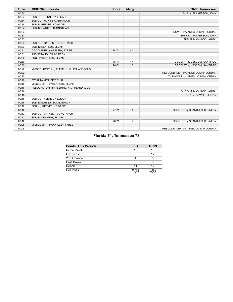| <b>Time</b> | <b>VISITORS: Florida</b>                 | <b>Score</b> | <b>Margin</b>  | <b>HOME: Tennessee</b>                |
|-------------|------------------------------------------|--------------|----------------|---------------------------------------|
| 00:34       |                                          |              |                | SUB IN: FULKERSON, JOHN               |
| 00:34       | SUB OUT: KENNEDY, ELIJAH                 |              |                |                                       |
| 00:34       | SUB OUT: MCKISSIC, BRANDON               |              |                |                                       |
| 00:34       | SUB IN: REEVES, KOWACIE                  |              |                |                                       |
| 00:34       | SUB IN: GATKEK, TUONGTHACH               |              |                |                                       |
| 00:33       |                                          |              |                | TURNOVER by JAMES, JOSIAH-JORDAN      |
| 00:33       |                                          |              |                | SUB OUT: FULKERSON, JOHN              |
| 00:33       |                                          |              |                | SUB IN: MASHACK, JAHMAI               |
| 00:33       | SUB OUT: GATKEK, TUONGTHACH              |              |                |                                       |
| 00:33       | SUB IN: KENNEDY, ELIJAH                  |              |                |                                       |
| 00:31       | GOOD! 3PTR by APPLEBY, TYREE             | 74-71        | $H_3$          |                                       |
| 00:31       | ASSIST by JONES, MYREON                  |              |                |                                       |
| 00:30       | FOUL by KENNEDY, ELIJAH                  |              |                |                                       |
| 00:30       |                                          | 75-71        | H <sub>4</sub> | GOOD! FT by VESCOVI, SANTIAGO         |
| 00:30       |                                          | 76-71        | H <sub>5</sub> | GOOD! FT by VESCOVI, SANTIAGO         |
| 00:22       | MISSED JUMPER by FLEMING JR., PHLANDROUS |              |                |                                       |
| 00:22       |                                          |              |                | REBOUND (DEF) by JAMES, JOSIAH-JORDAN |
| 00:20       |                                          |              |                | TURNOVER by JAMES, JOSIAH-JORDAN      |
| 00:20       | STEAL by KENNEDY, ELIJAH                 |              |                |                                       |
| 00:16       | MISSED 3PTR by KENNEDY, ELIJAH           |              |                |                                       |
| 00:16       | REBOUND (OFF) by FLEMING JR., PHLANDROUS |              |                |                                       |
| 00:16       |                                          |              |                | SUB OUT: MASHACK, JAHMAI              |
| 00:16       |                                          |              |                | SUB IN: POWELL, JUSTIN                |
| 00:16       | SUB OUT: KENNEDY, ELIJAH                 |              |                |                                       |
| 00:16       | SUB IN: GATKEK, TUONGTHACH               |              |                |                                       |
| 00:12       | FOUL by REEVES, KOWACIE                  |              |                |                                       |
| 00:12       |                                          | $77 - 71$    | H <sub>6</sub> | GOOD! FT by CHANDLER, KENNEDY         |
| 00:12       | SUB OUT: GATKEK, TUONGTHACH              |              |                |                                       |
| 00:12       | SUB IN: KENNEDY, ELIJAH                  |              |                |                                       |
| 00:12       |                                          | 78-71        | H <sub>7</sub> | GOOD! FT by CHANDLER, KENNEDY         |
| 00:08       | MISSED 3PTR by APPLEBY, TYREE            |              |                |                                       |
| 00:08       |                                          |              |                | REBOUND (DEF) by JAMES, JOSIAH-JORDAN |

# **Florida 71, Tennessee 78**

| <b>Points (This Period)</b> | <b>FLA</b>     | <b>TENN</b>    |
|-----------------------------|----------------|----------------|
| In the Paint                | 16             | 18             |
| Off Turns                   | 5              | 12             |
| 2nd Chance                  |                |                |
| <b>Fast Break</b>           |                |                |
| Bench                       |                | 12             |
| Per Poss                    | 0.784<br>13/37 | 1.189<br>21/37 |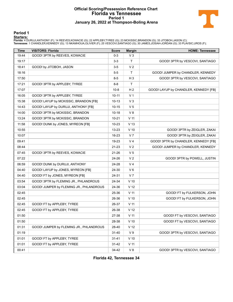#### **Official Scoring/Possession Reference Chart Florida vs Tennessee Period 1 January 26, 2022 at Thompson-Boling Arena**



#### **Period 1**

#### **Starters:**

Florida: 4 DURUJI,ANTHONY (F); 14 REEVES,KOWACIE (G); 22 APPLEBY,TYREE (G); 23 MCKISSIC,BRANDON (G); 33 JITOBOH,JASON (C);<br>Tennessee: 1 CHANDLER,KENNEDY (G); 13 NKAMHOUA,OLIVIER (F); 25 VESCOVI,SANTIAGO (G); 30 JAMES,JOSIA

| Time  | <b>VISITORS: Florida</b>                | <b>Score</b> | <b>Margin</b>   | <b>HOME: Tennessee</b>                |
|-------|-----------------------------------------|--------------|-----------------|---------------------------------------|
| 19:44 | GOOD! 3PTR by REEVES, KOWACIE           | $0 - 3$      | $V_3$           |                                       |
| 19:17 |                                         | $3-3$        | Τ               | GOOD! 3PTR by VESCOVI, SANTIAGO       |
| 18:41 | GOOD! by JITOBOH, JASON                 | $3-5$        | V <sub>2</sub>  |                                       |
| 18:16 |                                         | $5-5$        | T               | GOOD! JUMPER by CHANDLER, KENNEDY     |
| 17:50 |                                         | $8 - 5$      | H <sub>3</sub>  | GOOD! 3PTR by VESCOVI, SANTIAGO       |
| 17:21 | GOOD! 3PTR by APPLEBY, TYREE            | $8 - 8$      | $\mathsf{T}$    |                                       |
| 17:07 |                                         | $10 - 8$     | H <sub>2</sub>  | GOOD! LAYUP by CHANDLER, KENNEDY [FB] |
| 16:05 | GOOD! 3PTR by APPLEBY, TYREE            | $10 - 11$    | V <sub>1</sub>  |                                       |
| 15:38 | GOOD! LAYUP by MCKISSIC, BRANDON [FB]   | $10 - 13$    | $V_3$           |                                       |
| 14:43 | GOOD! LAYUP by DURUJI, ANTHONY [FB]     | $10 - 15$    | V <sub>5</sub>  |                                       |
| 14:00 | GOOD! 3PTR by MCKISSIC, BRANDON         | $10 - 18$    | V8              |                                       |
| 13:24 | GOOD! 3PTR by MCKISSIC, BRANDON         | $10 - 21$    | V <sub>11</sub> |                                       |
| 11:58 | GOOD! DUNK by JONES, MYREON [FB]        | $10 - 23$    | V <sub>13</sub> |                                       |
| 10:55 |                                         | 13-23        | $V$ 10          | GOOD! 3PTR by ZEIGLER, ZAKAI          |
| 10:07 |                                         | 16-23        | V <sub>7</sub>  | GOOD! 3PTR by ZEIGLER, ZAKAI          |
| 09:41 |                                         | 19-23        | V <sub>4</sub>  | GOOD! 3PTR by CHANDLER, KENNEDY [FB]  |
| 08:44 |                                         | 21-23        | V <sub>2</sub>  | GOOD! JUMPER by CHANDLER, KENNEDY     |
| 07:45 | GOOD! 3PTR by REEVES, KOWACIE           | 21-26        | V <sub>5</sub>  |                                       |
| 07:22 |                                         | 24-26        | V <sub>2</sub>  | GOOD! 3PTR by POWELL, JUSTIN          |
| 06:59 | GOOD! DUNK by DURUJI, ANTHONY           | 24-28        | V <sub>4</sub>  |                                       |
| 04:40 | GOOD! LAYUP by JONES, MYREON [FB]       | 24-30        | $V_6$           |                                       |
| 04:40 | GOOD! FT by JONES, MYREON [FB]          | 24-31        | V <sub>7</sub>  |                                       |
| 03:54 | GOOD! 3PTR by FLEMING JR., PHLANDROUS   | 24-34        | $V$ 10          |                                       |
| 03:04 | GOOD! JUMPER by FLEMING JR., PHLANDROUS | 24-36        | V <sub>12</sub> |                                       |
| 02:45 |                                         | 25-36        | V <sub>11</sub> | GOOD! FT by FULKERSON, JOHN           |
| 02:45 |                                         | 26-36        | $V$ 10          | GOOD! FT by FULKERSON, JOHN           |
| 02:45 | GOOD! FT by APPLEBY, TYREE              | 26-37        | V <sub>11</sub> |                                       |
| 02:45 | GOOD! FT by APPLEBY, TYREE              | 26-38        | V <sub>12</sub> |                                       |
| 01:50 |                                         | 27-38        | V <sub>11</sub> | GOOD! FT by VESCOVI, SANTIAGO         |
| 01:50 |                                         | 28-38        | $V$ 10          | GOOD! FT by VESCOVI, SANTIAGO         |
| 01:31 | GOOD! JUMPER by FLEMING JR., PHLANDROUS | 28-40        | V <sub>12</sub> |                                       |
| 01:19 |                                         | $31 - 40$    | V <sub>9</sub>  | GOOD! 3PTR by VESCOVI, SANTIAGO       |
| 01:01 | GOOD! FT by APPLEBY, TYREE              | $31 - 41$    | $V$ 10          |                                       |
| 01:01 | GOOD! FT by APPLEBY, TYREE              | 31-42        | V <sub>11</sub> |                                       |
| 00:41 |                                         | 34-42        | V8              | GOOD! 3PTR by VESCOVI, SANTIAGO       |

**Florida 42, Tennessee 34**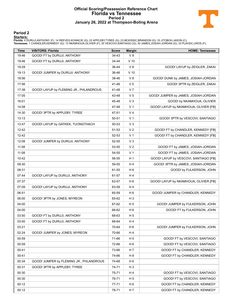#### **Official Scoring/Possession Reference Chart Florida vs Tennessee Period 2 January 26, 2022 at Thompson-Boling Arena**



#### **Period 2**

#### **Starters:**

Florida: 4 DURUJI,ANTHONY (F); 14 REEVES,KOWACIE (G); 22 APPLEBY,TYREE (G); 23 MCKISSIC,BRANDON (G); 33 JITOBOH,JASON (C);<br>Tennessee: 1 CHANDLER,KENNEDY (G); 13 NKAMHOUA,OLIVIER (F); 25 VESCOVI,SANTIAGO (G); 30 JAMES,JOSIA

| <b>Time</b> | <b>VISITORS: Florida</b>                | <b>Score</b> | <b>Margin</b>  | <b>HOME: Tennessee</b>                |
|-------------|-----------------------------------------|--------------|----------------|---------------------------------------|
| 19:46       | GOOD! FT by DURUJI, ANTHONY             | 34-43        | V <sub>9</sub> |                                       |
| 19:46       | GOOD! FT by DURUJI, ANTHONY             | 34-44        | $V$ 10         |                                       |
| 19:29       |                                         | 36-44        | V8             | GOOD! LAYUP by ZEIGLER, ZAKAI         |
| 19:13       | GOOD! JUMPER by DURUJI, ANTHONY         | 36-46        | $V$ 10         |                                       |
| 18:56       |                                         | 38-46        | V8             | GOOD! DUNK by JAMES, JOSIAH-JORDAN    |
| 17:56       |                                         | 41-46        | V <sub>5</sub> | GOOD! 3PTR by ZEIGLER, ZAKAI          |
| 17:38       | GOOD! LAYUP by FLEMING JR., PHLANDROUS  | 41-48        | V <sub>7</sub> |                                       |
| 17:05       |                                         | 43-48        | V <sub>5</sub> | GOOD! JUMPER by JAMES, JOSIAH-JORDAN  |
| 16:01       |                                         | 45-48        | V <sub>3</sub> | GOOD! by NKAMHOUA, OLIVIER            |
| 14:58       |                                         | 47-48        | V <sub>1</sub> | GOOD! LAYUP by NKAMHOUA, OLIVIER [FB] |
| 14:30       | GOOD! 3PTR by APPLEBY, TYREE            | 47-51        | V <sub>4</sub> |                                       |
| 13:13       |                                         | 50-51        | V <sub>1</sub> | GOOD! 3PTR by VESCOVI, SANTIAGO       |
| 12:47       | GOOD! LAYUP by GATKEK, TUONGTHACH       | 50-53        | V <sub>3</sub> |                                       |
| 12:42       |                                         | 51-53        | V <sub>2</sub> | GOOD! FT by CHANDLER, KENNEDY [FB]    |
| 12:42       |                                         | 52-53        | V <sub>1</sub> | GOOD! FT by CHANDLER, KENNEDY [FB]    |
| 12:08       | GOOD! JUMPER by DURUJI, ANTHONY         | 52-55        | V <sub>3</sub> |                                       |
| 11:08       |                                         | 53-55        | V <sub>2</sub> | GOOD! FT by JAMES, JOSIAH-JORDAN      |
| 11:08       |                                         | 54-55        | V <sub>1</sub> | GOOD! FT by JAMES, JOSIAH-JORDAN      |
| 10:42       |                                         | 56-55        | H <sub>1</sub> | GOOD! LAYUP by VESCOVI, SANTIAGO [FB] |
| 09:30       |                                         | 59-55        | H4             | GOOD! 3PTR by JAMES, JOSIAH-JORDAN    |
| 08:31       |                                         | 61-55        | H <sub>6</sub> | GOOD! by FULKERSON, JOHN              |
| 07:44       | GOOD! LAYUP by DURUJI, ANTHONY          | 61-57        | H 4            |                                       |
| 07:37       |                                         | 63-57        | H <sub>6</sub> | GOOD! LAYUP by NKAMHOUA, OLIVIER [FB] |
| 07:09       | GOOD! LAYUP by DURUJI, ANTHONY          | 63-59        | H4             |                                       |
| 06:51       |                                         | 65-59        | H <sub>6</sub> | GOOD! JUMPER by CHANDLER, KENNEDY     |
| 06:00       | GOOD! 3PTR by JONES, MYREON             | 65-62        | H <sub>3</sub> |                                       |
| 04:00       |                                         | 67-62        | H <sub>5</sub> | GOOD! JUMPER by FULKERSON, JOHN       |
| 04:00       |                                         | 68-62        | H <sub>6</sub> | GOOD! FT by FULKERSON, JOHN           |
| 03:50       | GOOD! FT by DURUJI, ANTHONY             | 68-63        | H <sub>5</sub> |                                       |
| 03:50       | GOOD! FT by DURUJI, ANTHONY             | 68-64        | H4             |                                       |
| 03:21       |                                         | 70-64        | H <sub>6</sub> | GOOD! JUMPER by FULKERSON, JOHN       |
| 02:24       | GOOD! JUMPER by JONES, MYREON           | 70-66        | H4             |                                       |
| 00:59       |                                         | 71-66        | H 5            | GOOD! FT by VESCOVI, SANTIAGO         |
| 00:59       |                                         | 72-66        | H 6            | GOOD! FT by VESCOVI, SANTIAGO         |
| 00:41       |                                         | 73-66        | H 7            | GOOD! FT by CHANDLER, KENNEDY         |
| 00:41       |                                         | 74-66        | H <sub>8</sub> | GOOD! FT by CHANDLER, KENNEDY         |
| 00:34       | GOOD! JUMPER by FLEMING JR., PHLANDROUS | 74-68        | H <sub>6</sub> |                                       |
| 00:31       | GOOD! 3PTR by APPLEBY, TYREE            | 74-71        | $H_3$          |                                       |
| 00:30       |                                         | 75-71        | H 4            | GOOD! FT by VESCOVI, SANTIAGO         |
| 00:30       |                                         | 76-71        | H <sub>5</sub> | GOOD! FT by VESCOVI, SANTIAGO         |
| 00:12       |                                         | 77-71        | H <sub>6</sub> | GOOD! FT by CHANDLER, KENNEDY         |
| 00:12       |                                         | 78-71        | H 7            | GOOD! FT by CHANDLER, KENNEDY         |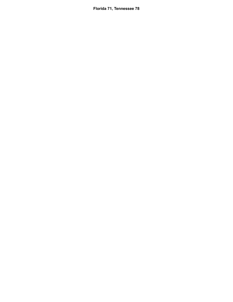**Florida 71, Tennessee 78**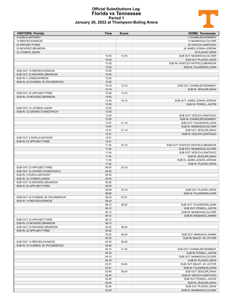#### **Official Substitutions Log Florida vs Tennessee Period 1 January 26, 2022 at Thompson-Boling Arena**



| <b>VISITORS: Florida</b>                                    | <b>Time</b>    | <b>Score</b> | <b>HOME: Tennessee</b>                                  |
|-------------------------------------------------------------|----------------|--------------|---------------------------------------------------------|
| 4 DURUJI, ANTHONY                                           |                |              | 1 CHANDLER, KENNEDY                                     |
| 14 REEVES, KOWACIE                                          |                |              | 13 NKAMHOUA, OLIVIER                                    |
| 22 APPLEBY.TYREE                                            |                |              | 25 VESCOVI, SANTIAGO                                    |
| 23 MCKISSIC, BRANDON                                        |                |              | 30 JAMES, JOSIAH-JORDAN                                 |
| 33 JITOBOH, JASON                                           |                |              | 33 PLAVSIC, UROS                                        |
|                                                             | 15:35          | $13 - 10$    | SUB OUT: NKAMHOUA, OLIVIER                              |
|                                                             | 15:35          |              | SUB OUT: PLAVSIC, UROS                                  |
|                                                             | 15:35          |              | SUB IN: HUNTLEY-HATFIELD, BRANDON                       |
|                                                             | 15:35          |              | SUB IN: FULKERSON, JOHN                                 |
| SUB OUT: 14 REEVES, KOWACIE                                 | 15:35          |              |                                                         |
| SUB OUT: 23 MCKISSIC.BRANDON                                | 15:35          |              |                                                         |
| SUB IN: 0 JONES, MYREON                                     | 15:35          |              |                                                         |
| SUB IN: 24 FLEMING JR., PHLANDROUS                          | 15:35          |              |                                                         |
|                                                             | 15:19          | $13 - 10$    | SUB OUT: CHANDLER, KENNEDY                              |
|                                                             | 15:19          |              | SUB IN: ZEIGLER, ZAKAI                                  |
| SUB OUT: 22 APPLEBY, TYREE                                  | 14:50          | $13 - 10$    |                                                         |
| SUB IN: 23 MCKISSIC, BRANDON                                | 14:50          |              |                                                         |
|                                                             | 13:35          | $18-10$      | SUB OUT: JAMES, JOSIAH-JORDAN<br>SUB IN: POWELL, JUSTIN |
| SUB OUT: 33 JITOBOH, JASON                                  | 13:35<br>13:35 |              |                                                         |
| SUB IN: 32 GATKEK, TUONGTHACH                               | 13:35          |              |                                                         |
|                                                             | 13:35          |              | SUB OUT: VESCOVI, SANTIAGO                              |
|                                                             | 13:35          |              | SUB IN: CHANDLER, KENNEDY                               |
|                                                             | 13:07          | $21 - 10$    | SUB OUT: FULKERSON, JOHN                                |
|                                                             | 13:07          |              | SUB IN: NKAMHOUA, OLIVIER                               |
|                                                             |                | $21 - 10$    |                                                         |
|                                                             | 12:51<br>12:51 |              | SUB OUT: ZEIGLER, ZAKAI<br>SUB IN: VESCOVI, SANTIAGO    |
| SUB OUT: 4 DURUJI, ANTHONY                                  |                |              |                                                         |
| SUB IN: 22 APPLEBY, TYREE                                   | 12:51          |              |                                                         |
|                                                             | 12:51          |              |                                                         |
|                                                             | 11:34<br>11:34 | $23-10$      | SUB OUT: HUNTLEY-HATFIELD, BRANDON                      |
|                                                             | 11:34          |              | SUB OUT: NKAMHOUA, OLIVIER                              |
|                                                             | 11:34          |              | SUB OUT: VESCOVI, SANTIAGO<br>SUB IN: ZEIGLER, ZAKAI    |
|                                                             |                |              |                                                         |
|                                                             | 11:34<br>11:34 |              | SUB IN: JAMES, JOSIAH-JORDAN<br>SUB IN: PLAVSIC, UROS   |
|                                                             | 09:30          | 23-19        |                                                         |
| SUB OUT: 22 APPLEBY, TYREE                                  | 09:30          |              |                                                         |
| SUB OUT: 32 GATKEK, TUONGTHACH<br>SUB IN: 4 DURUJI, ANTHONY | 09:30          |              |                                                         |
| SUB IN: 33 JITOBOH, JASON                                   | 09:30          |              |                                                         |
| SUB OUT: 23 MCKISSIC, BRANDON                               | 09:30          |              |                                                         |
| SUB IN: 22 APPLEBY, TYREE                                   | 09:30          |              |                                                         |
|                                                             | 09:09          | 23-19        | SUB OUT: PLAVSIC UROS                                   |
|                                                             | 09:09          |              | SUB IN: FULKERSON, JOHN                                 |
| SUB OUT: 24 FLEMING JR., PHLANDROUS                         | 08:23          | $23 - 21$    |                                                         |
| SUB IN: 14 REEVES, KOWACIE                                  | 08:23          |              |                                                         |
|                                                             | 06:12          | 28-24        | SUB OUT: FULKERSON, JOHN                                |
|                                                             | 06:12          |              | SUB OUT: POWELL, JUSTIN                                 |
|                                                             | 06:12          |              | SUB IN: NKAMHOUA, OLIVIER                               |
|                                                             | 06:12          |              | SUB IN: MASHACK, JAHMAI                                 |
| SUB OUT: 22 APPLEBY, TYREE                                  | 06:12          |              |                                                         |
| SUB IN: 23 MCKISSIC, BRANDON                                | 06:12          |              |                                                         |
| SUB OUT: 23 MCKISSIC, BRANDON                               | 05:52          | 28-24        |                                                         |
| SUB IN: 22 APPLEBY, TYREE                                   | 05:52          |              |                                                         |
|                                                             | 05:32          | 28-24        | SUB OUT: MASHACK, JAHMAI                                |
|                                                             | 05:32          |              | SUB IN: BAILEY JR., VICTOR                              |
| SUB OUT: 14 REEVES, KOWACIE                                 | 04:40          | $30 - 24$    |                                                         |
| SUB IN: 24 FLEMING JR., PHLANDROUS                          | 04:40          |              |                                                         |
|                                                             | 04:10          | $31 - 24$    | SUB OUT: CHANDLER, KENNEDY                              |
|                                                             | 04:10          |              | SUB IN: POWELL, JUSTIN                                  |
|                                                             | 04:10          |              | SUB OUT: NKAMHOUA, OLIVIER                              |
|                                                             | 04:10          |              | SUB IN: PLAVSIC, UROS                                   |
|                                                             | 03:21          | 34-24        | SUB OUT: BAILEY JR., VICTOR                             |
|                                                             | 03:21          |              | SUB IN: FULKERSON, JOHN                                 |
|                                                             | 02:45          | 36-24        | SUB OUT: ZEIGLER, ZAKAI                                 |
|                                                             | 02:45          |              | SUB IN: VESCOVI, SANTIAGO                               |
|                                                             | 02:45          |              | SUB OUT: POWELL, JUSTIN                                 |
|                                                             | 02:45          |              | SUB IN: ZEIGLER, ZAKAI                                  |
|                                                             | 02:45          |              | SUB OUT: PLAVSIC, UROS                                  |
|                                                             | 02:45          |              | SUB IN: NKAMHOUA, OLIVIER                               |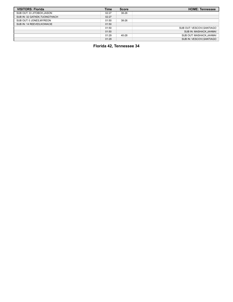| <b>VISITORS: Florida</b>      | <b>Time</b> | <b>Score</b> | <b>HOME: Tennessee</b>     |
|-------------------------------|-------------|--------------|----------------------------|
| SUB OUT: 33 JITOBOH, JASON    | 02:27       | 38-26        |                            |
| SUB IN: 32 GATKEK, TUONGTHACH | 02:27       |              |                            |
| SUB OUT: 0 JONES, MYREON      | 01:50       | 38-26        |                            |
| SUB IN: 14 REEVES, KOWACIE    | 01:50       |              |                            |
|                               | 01:50       |              | SUB OUT: VESCOVI, SANTIAGO |
|                               | 01:50       |              | SUB IN: MASHACK, JAHMAI    |
|                               | 01:29       | 40-28        | SUB OUT: MASHACK, JAHMAI   |
|                               | 01:29       |              | SUB IN: VESCOVI, SANTIAGO  |

**Florida 42, Tennessee 34**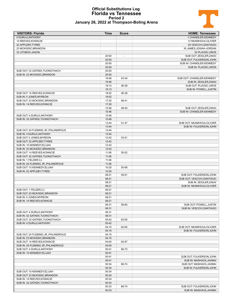#### **Official Substitutions Log Florida vs Tennessee Period 2 January 26, 2022 at Thompson-Boling Arena**



| <b>VISITORS: Florida</b>            | Time  | <b>Score</b>             | <b>HOME: Tennessee</b>     |
|-------------------------------------|-------|--------------------------|----------------------------|
| 4 DURUJI, ANTHONY                   |       |                          | 1 CHANDLER, KENNEDY        |
| 14 REEVES, KOWACIE                  |       |                          | 13 NKAMHOUA, OLIVIER       |
| 22 APPLEBY, TYREE                   |       |                          | 25 VESCOVI.SANTIAGO        |
| 23 MCKISSIC, BRANDON                |       |                          | 30 JAMES, JOSIAH-JORDAN    |
| 33 JITOBOH, JASON                   |       |                          | 33 PLAVSIC, UROS           |
|                                     | 20:00 | $\overline{\phantom{a}}$ | SUB OUT: ZEIGLER, ZAKAI    |
|                                     | 20:00 |                          | SUB OUT: FULKERSON, JOHN   |
|                                     | 20:00 |                          | SUB IN: CHANDLER, KENNEDY  |
|                                     | 20:00 |                          | SUB IN: PLAVSIC, UROS      |
| SUB OUT: 32 GATKEK, TUONGTHACH      | 20:00 |                          |                            |
| SUB IN: 23 MCKISSIC, BRANDON        | 20:00 |                          |                            |
|                                     | 19:46 | 43-34                    | SUB OUT: CHANDLER, KENNEDY |
|                                     | 19:46 |                          | SUB IN: ZEIGLER, ZAKAI     |
|                                     | 19:13 | 46-36                    | SUB OUT: PLAVSIC, UROS     |
|                                     | 19:13 |                          | SUB IN: POWELL, JUSTIN     |
| SUB OUT: 14 REEVES, KOWACIE         | 18:52 | 46-38                    |                            |
| SUB IN: 0 JONES, MYREON             | 18:52 |                          |                            |
| SUB OUT: 23 MCKISSIC, BRANDON       | 17:20 | 48-41                    |                            |
| SUB IN: 14 REEVES, KOWACIE          | 17:20 |                          |                            |
|                                     | 15:46 | 48-45                    | SUB OUT: ZEIGLER, ZAKAI    |
|                                     | 15:46 |                          | SUB IN: CHANDLER, KENNEDY  |
| SUB OUT: 4 DURUJI, ANTHONY          | 15:46 |                          |                            |
| SUB IN: 32 GATKEK, TUONGTHACH       | 15:46 |                          |                            |
|                                     | 13:44 | 51-47                    | SUB OUT: NKAMHOUA, OLIVIER |
|                                     | 13:44 |                          | SUB IN: FULKERSON, JOHN    |
| SUB OUT: 24 FLEMING JR., PHLANDROUS | 13:44 |                          |                            |
| SUB IN: 4 DURUJI, ANTHONY           | 13:44 |                          |                            |
| SUB OUT: 0 JONES, MYREON            | 12:42 | 53-51                    |                            |
| SUB OUT: 22 APPLEBY, TYREE          | 12:42 |                          |                            |
| SUB IN: 10 KENNEDY, ELIJAH          | 12:42 |                          |                            |
| SUB IN: 23 MCKISSIC, BRANDON        | 12:42 |                          |                            |
| SUB OUT: 14 REEVES, KOWACIE         | 11:08 | 55-52                    |                            |
| SUB OUT: 32 GATKEK, TUONGTHACH      | 11:08 |                          |                            |
| SUB IN: 1 FELDER,CJ                 | 11:08 |                          |                            |
| SUB IN: 24 FLEMING JR., PHLANDROUS  | 11:08 |                          |                            |
| SUB OUT: 10 KENNEDY, ELIJAH         | 10:25 | 55-56                    |                            |
| SUB IN: 22 APPLEBY, TYREE           | 10:25 |                          |                            |
|                                     | 08:21 | 55-61                    | SUB OUT: FULKERSON, JOHN   |
|                                     | 08:21 |                          | SUB OUT: VESCOVI, SANTIAGO |
|                                     | 08:21 |                          | SUB IN: ZEIGLER, ZAKAI     |
|                                     | 08:21 |                          | SUB IN: NKAMHOUA, OLIVIER  |
| SUB OUT: 1 FELDER, CJ               | 08:21 |                          |                            |
| SUB OUT: 23 MCKISSIC, BRANDON       | 08:21 |                          |                            |
| SUB IN: 0 JONES, MYREON             | 08:21 |                          |                            |
| SUB IN: 14 REEVES, KOWACIE          | 08:21 |                          |                            |
|                                     | 06:31 | 59-65                    | SUB OUT: POWELL, JUSTIN    |
|                                     | 06:31 |                          | SUB IN: VESCOVI.SANTIAGO   |
| SUB OUT: 4 DURUJI, ANTHONY          | 06:31 |                          |                            |
| SUB IN: 32 GATKEK, TUONGTHACH       | 06:31 |                          |                            |
| SUB OUT: 32 GATKEK, TUONGTHACH      | 05:42 | 62-65                    |                            |
| SUB IN: 4 DURUJI, ANTHONY           | 05:42 |                          |                            |
|                                     | 04:15 | 62-65                    | SUB OUT: NKAMHOUA, OLIVIER |
|                                     | 04:15 |                          | SUB IN: FULKERSON, JOHN    |
|                                     |       |                          |                            |
| SUB OUT: 24 FLEMING JR., PHLANDROUS | 04:15 |                          |                            |
| SUB IN: 23 MCKISSIC, BRANDON        | 04:15 |                          |                            |
| SUB OUT: 14 REEVES, KOWACIE         | 04:00 | 62-67                    |                            |
| SUB IN: 24 FLEMING JR., PHLANDROUS  | 04:00 |                          |                            |
| SUB OUT: 4 DURUJI, ANTHONY          | 00:41 | 66-72                    |                            |
| SUB IN: 10 KENNEDY, ELIJAH          | 00:41 |                          |                            |
|                                     | 00:41 |                          | SUB OUT: FULKERSON, JOHN   |
|                                     | 00:41 |                          | SUB IN: MASHACK, JAHMAI    |
|                                     | 00:34 | 68-74                    | SUB OUT: MASHACK, JAHMAI   |
|                                     | 00:34 |                          | SUB IN: FULKERSON, JOHN    |
| SUB OUT: 10 KENNEDY, ELIJAH         | 00:34 |                          |                            |
| SUB OUT: 23 MCKISSIC, BRANDON       | 00:34 |                          |                            |
| SUB IN: 14 REEVES, KOWACIE          | 00:34 |                          |                            |
| SUB IN: 32 GATKEK, TUONGTHACH       | 00:34 |                          |                            |
|                                     | 00:33 | 68-74                    | SUB OUT: FULKERSON, JOHN   |
|                                     | 00:33 |                          | SUB IN: MASHACK, JAHMAI    |